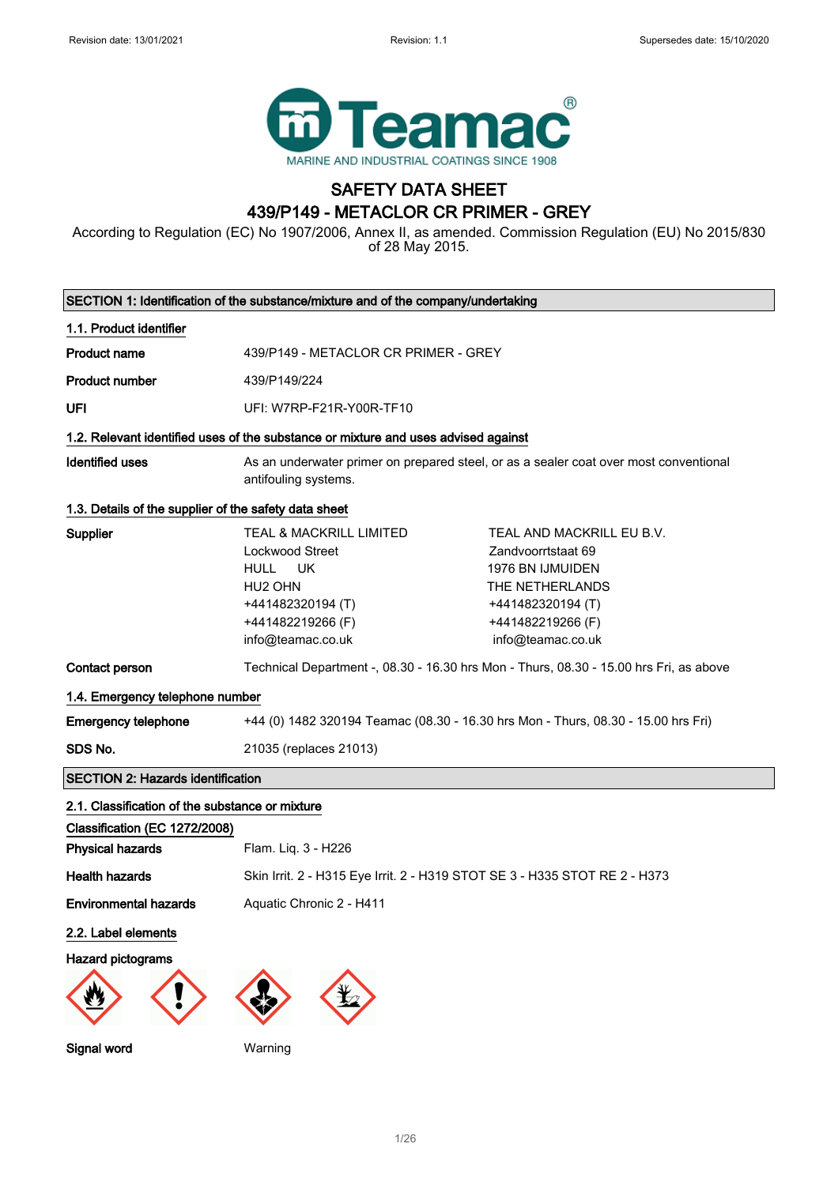

## SAFETY DATA SHEET 439/P149 - METACLOR CR PRIMER - GREY

According to Regulation (EC) No 1907/2006, Annex II, as amended. Commission Regulation (EU) No 2015/830 of 28 May 2015.

|                                                          | SECTION 1: Identification of the substance/mixture and of the company/undertaking                                                                         |                                                                                                                                                       |  |
|----------------------------------------------------------|-----------------------------------------------------------------------------------------------------------------------------------------------------------|-------------------------------------------------------------------------------------------------------------------------------------------------------|--|
| 1.1. Product identifier                                  |                                                                                                                                                           |                                                                                                                                                       |  |
| <b>Product name</b>                                      | 439/P149 - METACLOR CR PRIMER - GREY                                                                                                                      |                                                                                                                                                       |  |
| <b>Product number</b>                                    | 439/P149/224                                                                                                                                              |                                                                                                                                                       |  |
| UFI                                                      | UFI: W7RP-F21R-Y00R-TF10                                                                                                                                  |                                                                                                                                                       |  |
|                                                          | 1.2. Relevant identified uses of the substance or mixture and uses advised against                                                                        |                                                                                                                                                       |  |
| <b>Identified uses</b>                                   | antifouling systems.                                                                                                                                      | As an underwater primer on prepared steel, or as a sealer coat over most conventional                                                                 |  |
| 1.3. Details of the supplier of the safety data sheet    |                                                                                                                                                           |                                                                                                                                                       |  |
| Supplier                                                 | <b>TEAL &amp; MACKRILL LIMITED</b><br>Lockwood Street<br>HULL<br>UK<br>HU <sub>2</sub> OHN<br>+441482320194 (T)<br>+441482219266 (F)<br>info@teamac.co.uk | TEAL AND MACKRILL EU B.V.<br>Zandvoorrtstaat 69<br>1976 BN IJMUIDEN<br>THE NETHERLANDS<br>+441482320194 (T)<br>+441482219266 (F)<br>info@teamac.co.uk |  |
| Contact person                                           |                                                                                                                                                           | Technical Department -, 08.30 - 16.30 hrs Mon - Thurs, 08.30 - 15.00 hrs Fri, as above                                                                |  |
| 1.4. Emergency telephone number                          |                                                                                                                                                           |                                                                                                                                                       |  |
| <b>Emergency telephone</b>                               | +44 (0) 1482 320194 Teamac (08.30 - 16.30 hrs Mon - Thurs, 08.30 - 15.00 hrs Fri)                                                                         |                                                                                                                                                       |  |
| SDS No.                                                  | 21035 (replaces 21013)                                                                                                                                    |                                                                                                                                                       |  |
| <b>SECTION 2: Hazards identification</b>                 |                                                                                                                                                           |                                                                                                                                                       |  |
| 2.1. Classification of the substance or mixture          |                                                                                                                                                           |                                                                                                                                                       |  |
| Classification (EC 1272/2008)<br><b>Physical hazards</b> | Flam. Liq. 3 - H226                                                                                                                                       |                                                                                                                                                       |  |
| <b>Health hazards</b>                                    | Skin Irrit. 2 - H315 Eye Irrit. 2 - H319 STOT SE 3 - H335 STOT RE 2 - H373                                                                                |                                                                                                                                                       |  |
| <b>Environmental hazards</b>                             | Aquatic Chronic 2 - H411                                                                                                                                  |                                                                                                                                                       |  |
| 2.2. Label elements                                      |                                                                                                                                                           |                                                                                                                                                       |  |
| <b>Hazard pictograms</b>                                 |                                                                                                                                                           |                                                                                                                                                       |  |

Signal word Warning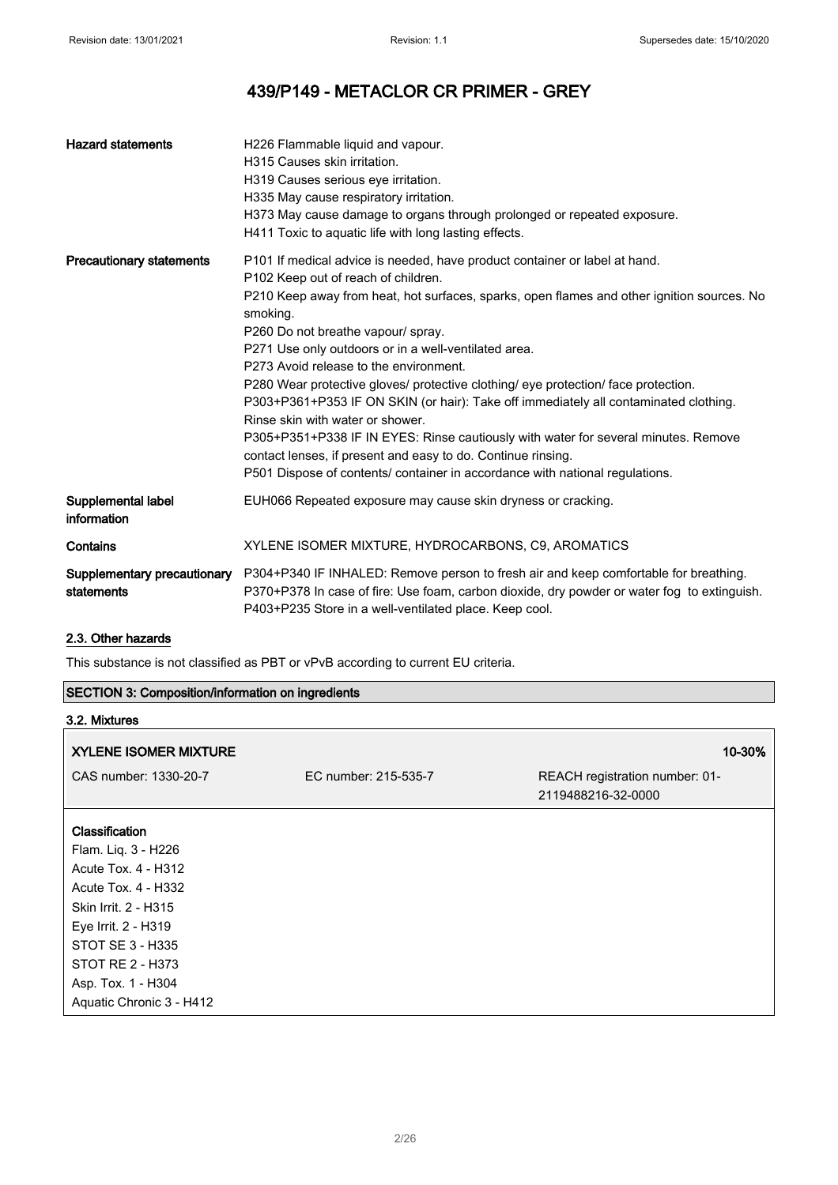| <b>Hazard statements</b>          | H226 Flammable liquid and vapour.<br>H315 Causes skin irritation.<br>H319 Causes serious eye irritation.<br>H335 May cause respiratory irritation.<br>H373 May cause damage to organs through prolonged or repeated exposure.<br>H411 Toxic to aquatic life with long lasting effects.                                                                                                                                                                                                                                                                                                                                                                                                                                                                                                                                      |
|-----------------------------------|-----------------------------------------------------------------------------------------------------------------------------------------------------------------------------------------------------------------------------------------------------------------------------------------------------------------------------------------------------------------------------------------------------------------------------------------------------------------------------------------------------------------------------------------------------------------------------------------------------------------------------------------------------------------------------------------------------------------------------------------------------------------------------------------------------------------------------|
| <b>Precautionary statements</b>   | P101 If medical advice is needed, have product container or label at hand.<br>P102 Keep out of reach of children.<br>P210 Keep away from heat, hot surfaces, sparks, open flames and other ignition sources. No<br>smoking.<br>P260 Do not breathe vapour/ spray.<br>P271 Use only outdoors or in a well-ventilated area.<br>P273 Avoid release to the environment.<br>P280 Wear protective gloves/ protective clothing/ eye protection/ face protection.<br>P303+P361+P353 IF ON SKIN (or hair): Take off immediately all contaminated clothing.<br>Rinse skin with water or shower.<br>P305+P351+P338 IF IN EYES: Rinse cautiously with water for several minutes. Remove<br>contact lenses, if present and easy to do. Continue rinsing.<br>P501 Dispose of contents/ container in accordance with national regulations. |
| Supplemental label<br>information | EUH066 Repeated exposure may cause skin dryness or cracking.                                                                                                                                                                                                                                                                                                                                                                                                                                                                                                                                                                                                                                                                                                                                                                |
| Contains                          | XYLENE ISOMER MIXTURE, HYDROCARBONS, C9, AROMATICS                                                                                                                                                                                                                                                                                                                                                                                                                                                                                                                                                                                                                                                                                                                                                                          |
| statements                        | Supplementary precautionary P304+P340 IF INHALED: Remove person to fresh air and keep comfortable for breathing.<br>P370+P378 In case of fire: Use foam, carbon dioxide, dry powder or water fog to extinguish.<br>P403+P235 Store in a well-ventilated place. Keep cool.                                                                                                                                                                                                                                                                                                                                                                                                                                                                                                                                                   |

## 2.3. Other hazards

This substance is not classified as PBT or vPvB according to current EU criteria.

| <b>SECTION 3: Composition/information on ingredients</b> |                      |                                                      |
|----------------------------------------------------------|----------------------|------------------------------------------------------|
| 3.2. Mixtures                                            |                      |                                                      |
| <b><i>XYLENE ISOMER MIXTURE</i></b>                      |                      | 10-30%                                               |
| CAS number: 1330-20-7                                    | EC number: 215-535-7 | REACH registration number: 01-<br>2119488216-32-0000 |
| <b>Classification</b>                                    |                      |                                                      |
| Flam. Liq. 3 - H226                                      |                      |                                                      |
| Acute Tox. 4 - H312                                      |                      |                                                      |
| Acute Tox. 4 - H332                                      |                      |                                                      |
| Skin Irrit. 2 - H315                                     |                      |                                                      |
| Eye Irrit. 2 - H319                                      |                      |                                                      |
| STOT SE 3 - H335                                         |                      |                                                      |
| STOT RE 2 - H373                                         |                      |                                                      |
| Asp. Tox. 1 - H304                                       |                      |                                                      |
| Aquatic Chronic 3 - H412                                 |                      |                                                      |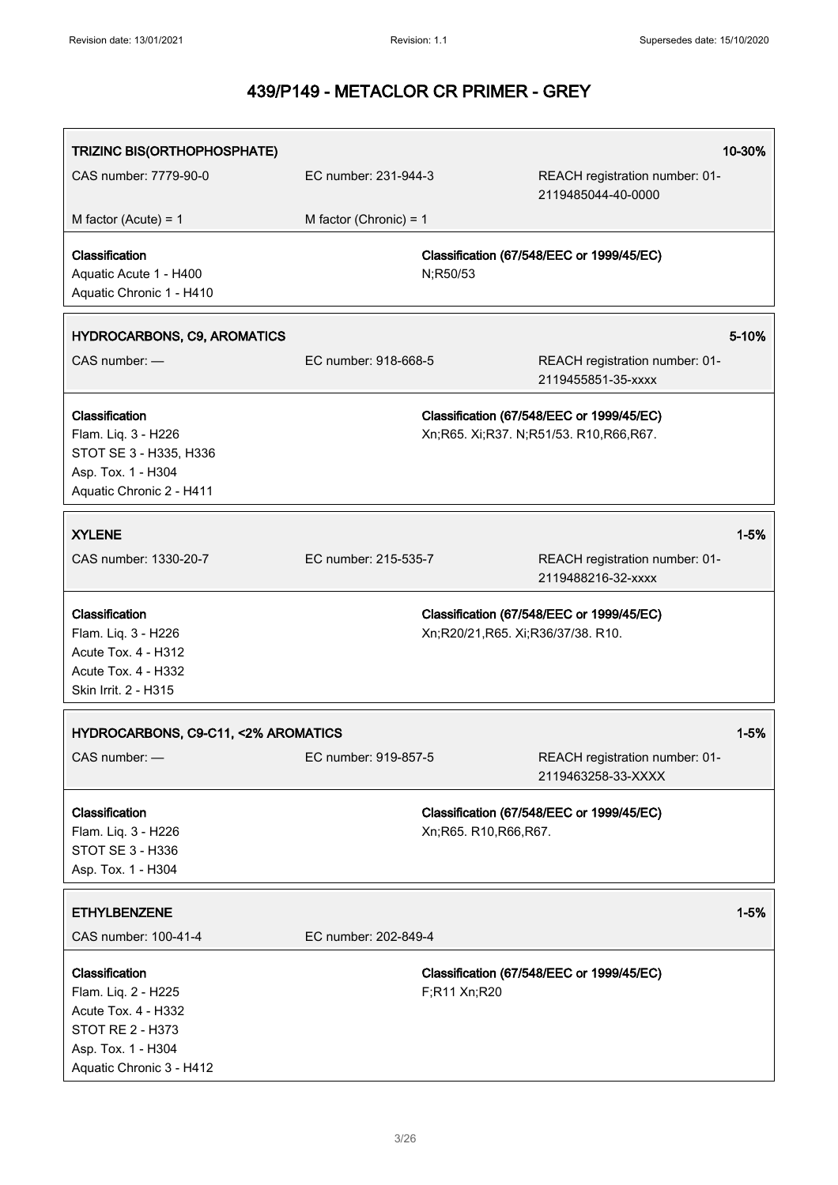| TRIZINC BIS(ORTHOPHOSPHATE)                                                                                                               |                          |                                   |                                                                                     | 10-30%   |
|-------------------------------------------------------------------------------------------------------------------------------------------|--------------------------|-----------------------------------|-------------------------------------------------------------------------------------|----------|
| CAS number: 7779-90-0                                                                                                                     | EC number: 231-944-3     |                                   | REACH registration number: 01-<br>2119485044-40-0000                                |          |
| M factor (Acute) = $1$                                                                                                                    | M factor (Chronic) = $1$ |                                   |                                                                                     |          |
| Classification<br>Aquatic Acute 1 - H400<br>Aquatic Chronic 1 - H410                                                                      |                          | N;R50/53                          | Classification (67/548/EEC or 1999/45/EC)                                           |          |
| <b>HYDROCARBONS, C9, AROMATICS</b>                                                                                                        |                          |                                   |                                                                                     | 5-10%    |
| CAS number: -                                                                                                                             | EC number: 918-668-5     |                                   | REACH registration number: 01-<br>2119455851-35-xxxx                                |          |
| Classification<br>Flam. Liq. 3 - H226<br>STOT SE 3 - H335, H336<br>Asp. Tox. 1 - H304<br>Aquatic Chronic 2 - H411                         |                          |                                   | Classification (67/548/EEC or 1999/45/EC)<br>Xn;R65. Xi;R37. N;R51/53. R10,R66,R67. |          |
| <b>XYLENE</b>                                                                                                                             |                          |                                   |                                                                                     | $1 - 5%$ |
| CAS number: 1330-20-7                                                                                                                     | EC number: 215-535-7     |                                   | REACH registration number: 01-<br>2119488216-32-xxxx                                |          |
| Classification<br>Flam. Liq. 3 - H226<br>Acute Tox. 4 - H312<br>Acute Tox. 4 - H332<br>Skin Irrit. 2 - H315                               |                          | Xn;R20/21,R65. Xi;R36/37/38. R10. | Classification (67/548/EEC or 1999/45/EC)                                           |          |
| HYDROCARBONS, C9-C11, <2% AROMATICS                                                                                                       |                          |                                   |                                                                                     | $1 - 5%$ |
| CAS number: -                                                                                                                             | EC number: 919-857-5     |                                   | REACH registration number: 01-<br>2119463258-33-XXXX                                |          |
| Classification<br>Flam. Liq. 3 - H226<br>STOT SE 3 - H336<br>Asp. Tox. 1 - H304                                                           |                          | Xn;R65. R10,R66,R67.              | Classification (67/548/EEC or 1999/45/EC)                                           |          |
| <b>ETHYLBENZENE</b>                                                                                                                       |                          |                                   |                                                                                     | $1 - 5%$ |
| CAS number: 100-41-4                                                                                                                      | EC number: 202-849-4     |                                   |                                                                                     |          |
| Classification<br>Flam. Liq. 2 - H225<br>Acute Tox. 4 - H332<br><b>STOT RE 2 - H373</b><br>Asp. Tox. 1 - H304<br>Aquatic Chronic 3 - H412 |                          | F;R11 Xn;R20                      | Classification (67/548/EEC or 1999/45/EC)                                           |          |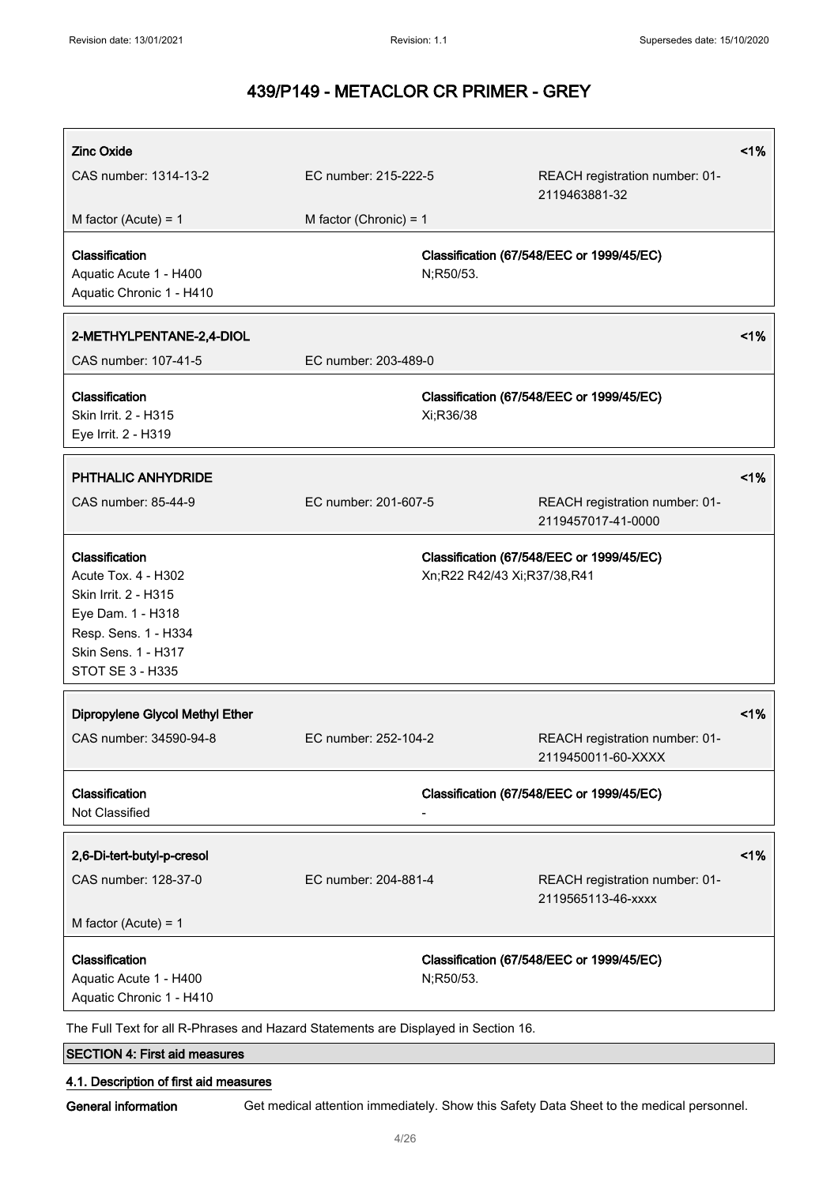| <b>Zinc Oxide</b>                                                                                                                                     |                          |                             |                                                      | 1% |
|-------------------------------------------------------------------------------------------------------------------------------------------------------|--------------------------|-----------------------------|------------------------------------------------------|----|
| CAS number: 1314-13-2                                                                                                                                 | EC number: 215-222-5     |                             | REACH registration number: 01-<br>2119463881-32      |    |
| M factor (Acute) = $1$                                                                                                                                | M factor (Chronic) = $1$ |                             |                                                      |    |
| Classification<br>Aquatic Acute 1 - H400<br>Aquatic Chronic 1 - H410                                                                                  |                          | N;R50/53.                   | Classification (67/548/EEC or 1999/45/EC)            |    |
| 2-METHYLPENTANE-2,4-DIOL                                                                                                                              |                          |                             |                                                      | 1% |
| CAS number: 107-41-5                                                                                                                                  | EC number: 203-489-0     |                             |                                                      |    |
| Classification<br>Skin Irrit. 2 - H315<br>Eye Irrit. 2 - H319                                                                                         |                          | Xi;R36/38                   | Classification (67/548/EEC or 1999/45/EC)            |    |
| <b>PHTHALIC ANHYDRIDE</b>                                                                                                                             |                          |                             |                                                      | 1% |
| CAS number: 85-44-9                                                                                                                                   | EC number: 201-607-5     |                             | REACH registration number: 01-<br>2119457017-41-0000 |    |
| Classification<br>Acute Tox. 4 - H302<br>Skin Irrit. 2 - H315<br>Eye Dam. 1 - H318<br>Resp. Sens. 1 - H334<br>Skin Sens. 1 - H317<br>STOT SE 3 - H335 |                          | Xn;R22 R42/43 Xi;R37/38,R41 | Classification (67/548/EEC or 1999/45/EC)            |    |
| Dipropylene Glycol Methyl Ether                                                                                                                       |                          |                             |                                                      | 1% |
| CAS number: 34590-94-8                                                                                                                                | EC number: 252-104-2     |                             | REACH registration number: 01-<br>2119450011-60-XXXX |    |
| Classification<br>Not Classified                                                                                                                      |                          |                             | Classification (67/548/EEC or 1999/45/EC)            |    |
| 2,6-Di-tert-butyl-p-cresol                                                                                                                            |                          |                             |                                                      | 1% |
| CAS number: 128-37-0                                                                                                                                  | EC number: 204-881-4     |                             | REACH registration number: 01-<br>2119565113-46-xxxx |    |
| M factor (Acute) = $1$                                                                                                                                |                          |                             |                                                      |    |
| Classification<br>Aquatic Acute 1 - H400<br>Aquatic Chronic 1 - H410                                                                                  |                          | N;R50/53.                   | Classification (67/548/EEC or 1999/45/EC)            |    |
| The Full Text for all R-Phrases and Hazard Statements are Displayed in Section 16.                                                                    |                          |                             |                                                      |    |
| <b>SECTION 4: First aid measures</b>                                                                                                                  |                          |                             |                                                      |    |

## 4.1. Description of first aid measures

General information Get medical attention immediately. Show this Safety Data Sheet to the medical personnel.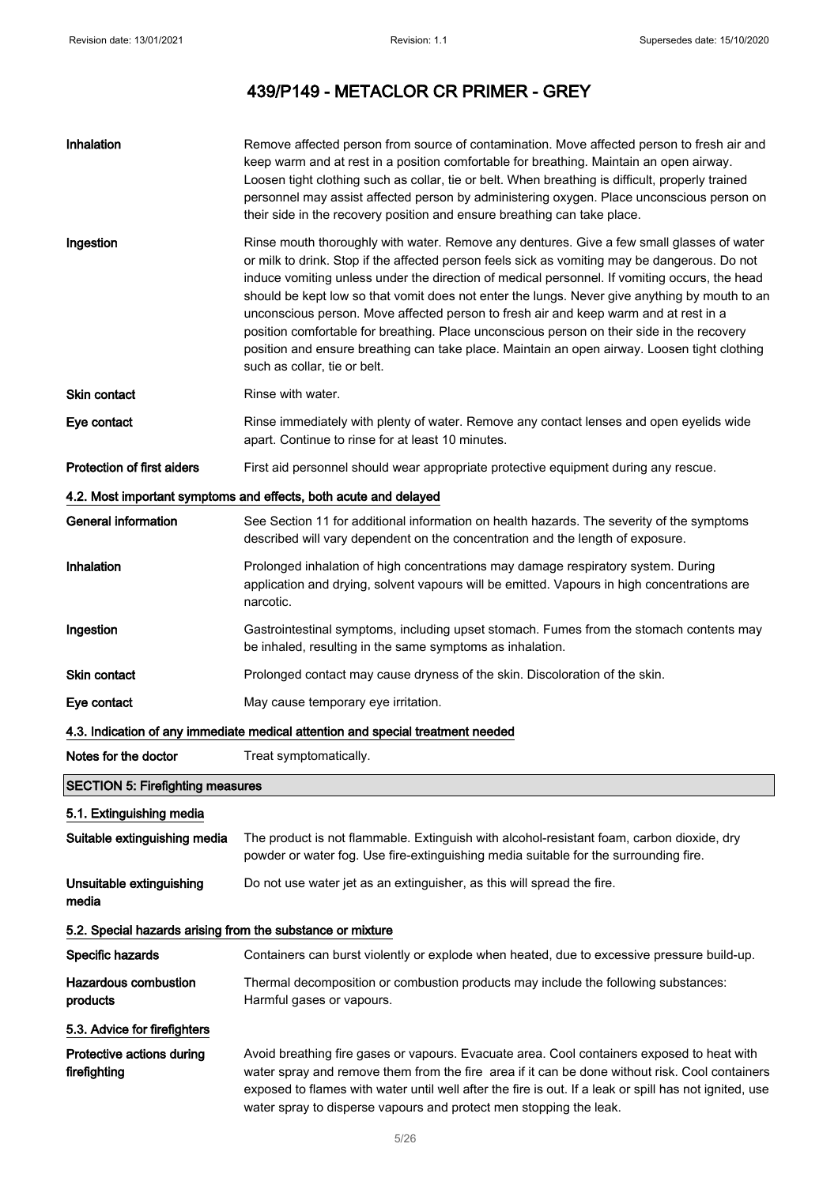| Inhalation                                                 | Remove affected person from source of contamination. Move affected person to fresh air and<br>keep warm and at rest in a position comfortable for breathing. Maintain an open airway.<br>Loosen tight clothing such as collar, tie or belt. When breathing is difficult, properly trained<br>personnel may assist affected person by administering oxygen. Place unconscious person on<br>their side in the recovery position and ensure breathing can take place.                                                                                                                                                                                                                                                 |
|------------------------------------------------------------|--------------------------------------------------------------------------------------------------------------------------------------------------------------------------------------------------------------------------------------------------------------------------------------------------------------------------------------------------------------------------------------------------------------------------------------------------------------------------------------------------------------------------------------------------------------------------------------------------------------------------------------------------------------------------------------------------------------------|
| Ingestion                                                  | Rinse mouth thoroughly with water. Remove any dentures. Give a few small glasses of water<br>or milk to drink. Stop if the affected person feels sick as vomiting may be dangerous. Do not<br>induce vomiting unless under the direction of medical personnel. If vomiting occurs, the head<br>should be kept low so that vomit does not enter the lungs. Never give anything by mouth to an<br>unconscious person. Move affected person to fresh air and keep warm and at rest in a<br>position comfortable for breathing. Place unconscious person on their side in the recovery<br>position and ensure breathing can take place. Maintain an open airway. Loosen tight clothing<br>such as collar, tie or belt. |
| <b>Skin contact</b>                                        | Rinse with water.                                                                                                                                                                                                                                                                                                                                                                                                                                                                                                                                                                                                                                                                                                  |
| Eye contact                                                | Rinse immediately with plenty of water. Remove any contact lenses and open eyelids wide<br>apart. Continue to rinse for at least 10 minutes.                                                                                                                                                                                                                                                                                                                                                                                                                                                                                                                                                                       |
| <b>Protection of first aiders</b>                          | First aid personnel should wear appropriate protective equipment during any rescue.                                                                                                                                                                                                                                                                                                                                                                                                                                                                                                                                                                                                                                |
|                                                            | 4.2. Most important symptoms and effects, both acute and delayed                                                                                                                                                                                                                                                                                                                                                                                                                                                                                                                                                                                                                                                   |
| <b>General information</b>                                 | See Section 11 for additional information on health hazards. The severity of the symptoms<br>described will vary dependent on the concentration and the length of exposure.                                                                                                                                                                                                                                                                                                                                                                                                                                                                                                                                        |
| Inhalation                                                 | Prolonged inhalation of high concentrations may damage respiratory system. During<br>application and drying, solvent vapours will be emitted. Vapours in high concentrations are<br>narcotic.                                                                                                                                                                                                                                                                                                                                                                                                                                                                                                                      |
| Ingestion                                                  | Gastrointestinal symptoms, including upset stomach. Fumes from the stomach contents may<br>be inhaled, resulting in the same symptoms as inhalation.                                                                                                                                                                                                                                                                                                                                                                                                                                                                                                                                                               |
| <b>Skin contact</b>                                        | Prolonged contact may cause dryness of the skin. Discoloration of the skin.                                                                                                                                                                                                                                                                                                                                                                                                                                                                                                                                                                                                                                        |
| Eye contact                                                | May cause temporary eye irritation.                                                                                                                                                                                                                                                                                                                                                                                                                                                                                                                                                                                                                                                                                |
|                                                            | 4.3. Indication of any immediate medical attention and special treatment needed                                                                                                                                                                                                                                                                                                                                                                                                                                                                                                                                                                                                                                    |
| Notes for the doctor                                       | Treat symptomatically.                                                                                                                                                                                                                                                                                                                                                                                                                                                                                                                                                                                                                                                                                             |
| <b>SECTION 5: Firefighting measures</b>                    |                                                                                                                                                                                                                                                                                                                                                                                                                                                                                                                                                                                                                                                                                                                    |
| 5.1. Extinguishing media                                   |                                                                                                                                                                                                                                                                                                                                                                                                                                                                                                                                                                                                                                                                                                                    |
| Suitable extinguishing media                               | The product is not flammable. Extinguish with alcohol-resistant foam, carbon dioxide, dry<br>powder or water fog. Use fire-extinguishing media suitable for the surrounding fire.                                                                                                                                                                                                                                                                                                                                                                                                                                                                                                                                  |
| Unsuitable extinguishing<br>media                          | Do not use water jet as an extinguisher, as this will spread the fire.                                                                                                                                                                                                                                                                                                                                                                                                                                                                                                                                                                                                                                             |
| 5.2. Special hazards arising from the substance or mixture |                                                                                                                                                                                                                                                                                                                                                                                                                                                                                                                                                                                                                                                                                                                    |
| Specific hazards                                           | Containers can burst violently or explode when heated, due to excessive pressure build-up.                                                                                                                                                                                                                                                                                                                                                                                                                                                                                                                                                                                                                         |
| <b>Hazardous combustion</b><br>products                    | Thermal decomposition or combustion products may include the following substances:<br>Harmful gases or vapours.                                                                                                                                                                                                                                                                                                                                                                                                                                                                                                                                                                                                    |
| 5.3. Advice for firefighters                               |                                                                                                                                                                                                                                                                                                                                                                                                                                                                                                                                                                                                                                                                                                                    |
| Protective actions during<br>firefighting                  | Avoid breathing fire gases or vapours. Evacuate area. Cool containers exposed to heat with<br>water spray and remove them from the fire area if it can be done without risk. Cool containers<br>exposed to flames with water until well after the fire is out. If a leak or spill has not ignited, use<br>water spray to disperse vapours and protect men stopping the leak.                                                                                                                                                                                                                                                                                                                                       |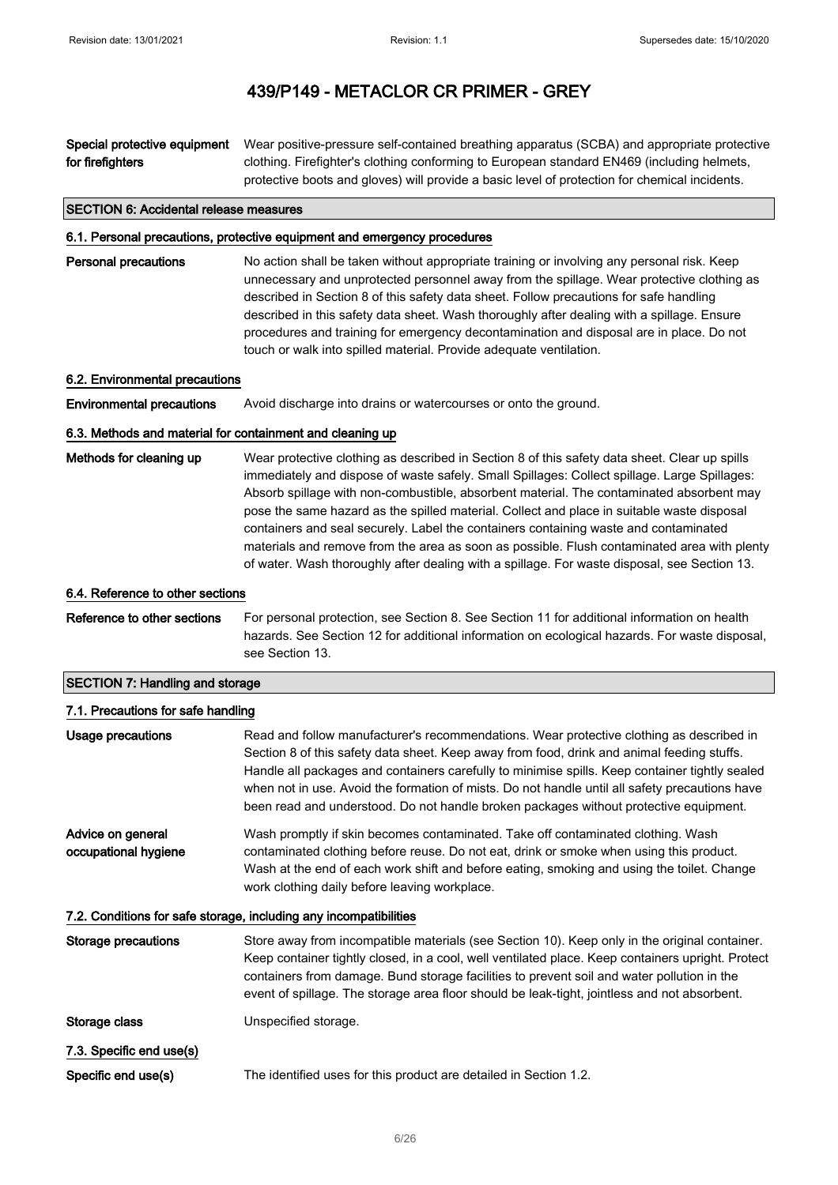#### Special protective equipment for firefighters Wear positive-pressure self-contained breathing apparatus (SCBA) and appropriate protective clothing. Firefighter's clothing conforming to European standard EN469 (including helmets, protective boots and gloves) will provide a basic level of protection for chemical incidents.

#### SECTION 6: Accidental release measures

## 6.1. Personal precautions, protective equipment and emergency procedures

Personal precautions No action shall be taken without appropriate training or involving any personal risk. Keep unnecessary and unprotected personnel away from the spillage. Wear protective clothing as described in Section 8 of this safety data sheet. Follow precautions for safe handling described in this safety data sheet. Wash thoroughly after dealing with a spillage. Ensure procedures and training for emergency decontamination and disposal are in place. Do not touch or walk into spilled material. Provide adequate ventilation.

## 6.2. Environmental precautions

Environmental precautions Avoid discharge into drains or watercourses or onto the ground.

## 6.3. Methods and material for containment and cleaning up

Methods for cleaning up Wear protective clothing as described in Section 8 of this safety data sheet. Clear up spills immediately and dispose of waste safely. Small Spillages: Collect spillage. Large Spillages: Absorb spillage with non-combustible, absorbent material. The contaminated absorbent may pose the same hazard as the spilled material. Collect and place in suitable waste disposal containers and seal securely. Label the containers containing waste and contaminated materials and remove from the area as soon as possible. Flush contaminated area with plenty of water. Wash thoroughly after dealing with a spillage. For waste disposal, see Section 13.

## 6.4. Reference to other sections

Reference to other sections For personal protection, see Section 8. See Section 11 for additional information on health hazards. See Section 12 for additional information on ecological hazards. For waste disposal, see Section 13.

#### SECTION 7: Handling and storage

| 7.1. Precautions for safe handling        |                                                                                                                                                                                                                                                                                                                                                                                                                                                                                     |
|-------------------------------------------|-------------------------------------------------------------------------------------------------------------------------------------------------------------------------------------------------------------------------------------------------------------------------------------------------------------------------------------------------------------------------------------------------------------------------------------------------------------------------------------|
| Usage precautions                         | Read and follow manufacturer's recommendations. Wear protective clothing as described in<br>Section 8 of this safety data sheet. Keep away from food, drink and animal feeding stuffs.<br>Handle all packages and containers carefully to minimise spills. Keep container tightly sealed<br>when not in use. Avoid the formation of mists. Do not handle until all safety precautions have<br>been read and understood. Do not handle broken packages without protective equipment. |
| Advice on general<br>occupational hygiene | Wash promptly if skin becomes contaminated. Take off contaminated clothing. Wash<br>contaminated clothing before reuse. Do not eat, drink or smoke when using this product.<br>Wash at the end of each work shift and before eating, smoking and using the toilet. Change<br>work clothing daily before leaving workplace.                                                                                                                                                          |
|                                           | 7.2. Conditions for safe storage, including any incompatibilities                                                                                                                                                                                                                                                                                                                                                                                                                   |
| Storage precautions                       | Store away from incompatible materials (see Section 10). Keep only in the original container.<br>Keep container tightly closed, in a cool, well ventilated place. Keep containers upright. Protect<br>containers from damage. Bund storage facilities to prevent soil and water pollution in the<br>event of spillage. The storage area floor should be leak-tight, jointless and not absorbent.                                                                                    |
| Storage class                             | Unspecified storage.                                                                                                                                                                                                                                                                                                                                                                                                                                                                |
| 7.3. Specific end use(s)                  |                                                                                                                                                                                                                                                                                                                                                                                                                                                                                     |
| Specific end use(s)                       | The identified uses for this product are detailed in Section 1.2.                                                                                                                                                                                                                                                                                                                                                                                                                   |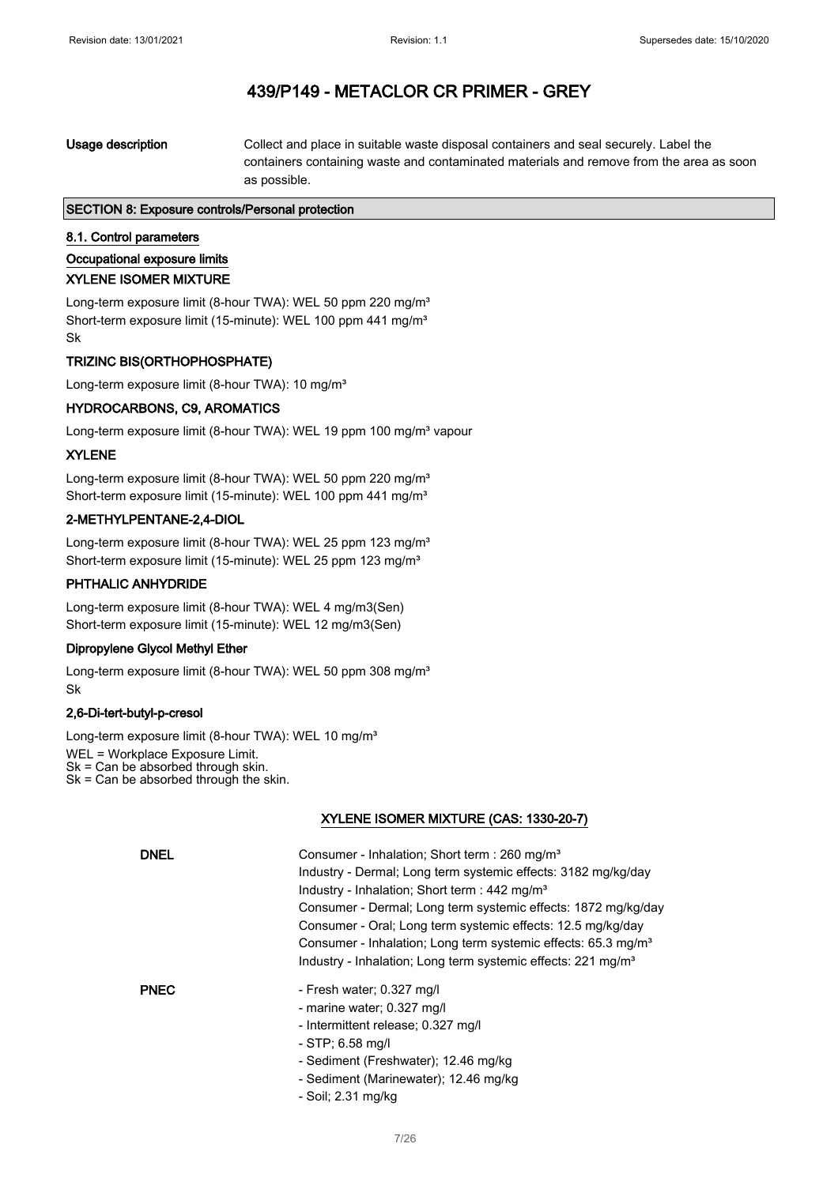| as possible. | Usage description | Collect and place in suitable waste disposal containers and seal securely. Label the<br>containers containing waste and contaminated materials and remove from the area as soon |
|--------------|-------------------|---------------------------------------------------------------------------------------------------------------------------------------------------------------------------------|
|--------------|-------------------|---------------------------------------------------------------------------------------------------------------------------------------------------------------------------------|

## SECTION 8: Exposure controls/Personal protection

## 8.1. Control parameters

Occupational exposure limits

### XYLENE ISOMER MIXTURE

Long-term exposure limit (8-hour TWA): WEL 50 ppm 220 mg/m<sup>3</sup> Short-term exposure limit (15-minute): WEL 100 ppm 441 mg/m<sup>3</sup> Sk

## TRIZINC BIS(ORTHOPHOSPHATE)

Long-term exposure limit (8-hour TWA): 10 mg/m<sup>3</sup>

## HYDROCARBONS, C9, AROMATICS

Long-term exposure limit (8-hour TWA): WEL 19 ppm 100 mg/m<sup>3</sup> vapour

## XYLENE

Long-term exposure limit (8-hour TWA): WEL 50 ppm 220 mg/m<sup>3</sup> Short-term exposure limit (15-minute): WEL 100 ppm 441 mg/m<sup>3</sup>

## 2-METHYLPENTANE-2,4-DIOL

Long-term exposure limit (8-hour TWA): WEL 25 ppm 123 mg/m<sup>3</sup> Short-term exposure limit (15-minute): WEL 25 ppm 123 mg/m<sup>3</sup>

## PHTHALIC ANHYDRIDE

Long-term exposure limit (8-hour TWA): WEL 4 mg/m3(Sen) Short-term exposure limit (15-minute): WEL 12 mg/m3(Sen)

## Dipropylene Glycol Methyl Ether

Long-term exposure limit (8-hour TWA): WEL 50 ppm 308 mg/m<sup>3</sup> Sk

## 2,6-Di-tert-butyl-p-cresol

Long-term exposure limit (8-hour TWA): WEL 10 mg/m<sup>3</sup>

WEL = Workplace Exposure Limit.

Sk = Can be absorbed through skin.

Sk = Can be absorbed through the skin.

## XYLENE ISOMER MIXTURE (CAS: 1330-20-7)

| <b>DNEL</b> | Consumer - Inhalation; Short term : 260 mg/m <sup>3</sup><br>Industry - Dermal; Long term systemic effects: 3182 mg/kg/day<br>Industry - Inhalation; Short term : $442 \text{ mg/m}^3$<br>Consumer - Dermal; Long term systemic effects: 1872 mg/kg/day<br>Consumer - Oral; Long term systemic effects: 12.5 mg/kg/day<br>Consumer - Inhalation; Long term systemic effects: 65.3 mg/m <sup>3</sup><br>Industry - Inhalation; Long term systemic effects: 221 mg/m <sup>3</sup> |
|-------------|---------------------------------------------------------------------------------------------------------------------------------------------------------------------------------------------------------------------------------------------------------------------------------------------------------------------------------------------------------------------------------------------------------------------------------------------------------------------------------|
| <b>PNEC</b> | - Fresh water: 0.327 mg/l<br>- marine water; 0.327 mg/l<br>- Intermittent release; 0.327 mg/l<br>$-$ STP; 6.58 mg/l<br>- Sediment (Freshwater); 12.46 mg/kg<br>- Sediment (Marinewater); 12.46 mg/kg                                                                                                                                                                                                                                                                            |

- Soil; 2.31 mg/kg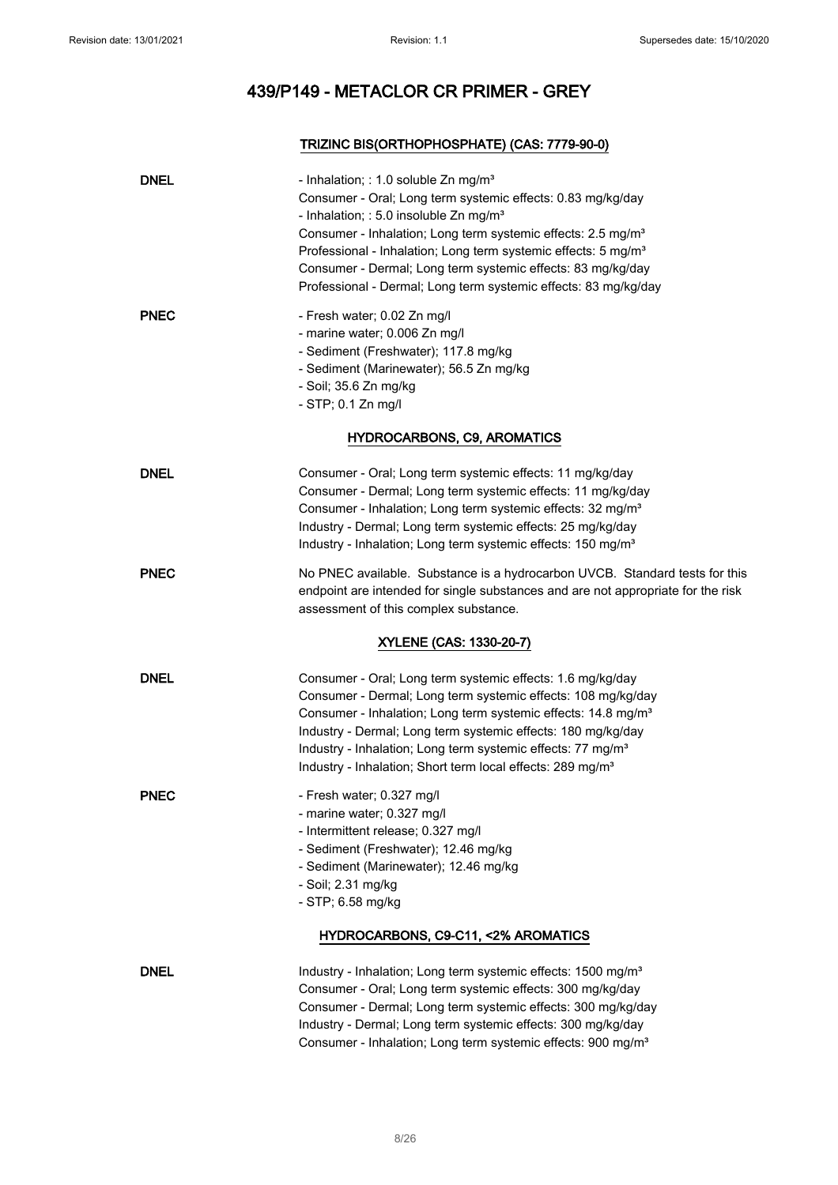## TRIZINC BIS(ORTHOPHOSPHATE) (CAS: 7779-90-0)

| <b>DNEL</b> | - Inhalation; : 1.0 soluble Zn mg/m <sup>3</sup><br>Consumer - Oral; Long term systemic effects: 0.83 mg/kg/day<br>- Inhalation; : 5.0 insoluble Zn mg/m <sup>3</sup><br>Consumer - Inhalation; Long term systemic effects: 2.5 mg/m <sup>3</sup><br>Professional - Inhalation; Long term systemic effects: 5 mg/m <sup>3</sup><br>Consumer - Dermal; Long term systemic effects: 83 mg/kg/day<br>Professional - Dermal; Long term systemic effects: 83 mg/kg/day |
|-------------|-------------------------------------------------------------------------------------------------------------------------------------------------------------------------------------------------------------------------------------------------------------------------------------------------------------------------------------------------------------------------------------------------------------------------------------------------------------------|
| <b>PNEC</b> | - Fresh water; 0.02 Zn mg/l<br>- marine water; 0.006 Zn mg/l<br>- Sediment (Freshwater); 117.8 mg/kg<br>- Sediment (Marinewater); 56.5 Zn mg/kg<br>- Soil; 35.6 Zn mg/kg<br>- STP; 0.1 Zn mg/l                                                                                                                                                                                                                                                                    |
|             | <b>HYDROCARBONS, C9, AROMATICS</b>                                                                                                                                                                                                                                                                                                                                                                                                                                |
| <b>DNEL</b> | Consumer - Oral; Long term systemic effects: 11 mg/kg/day<br>Consumer - Dermal; Long term systemic effects: 11 mg/kg/day<br>Consumer - Inhalation; Long term systemic effects: 32 mg/m <sup>3</sup><br>Industry - Dermal; Long term systemic effects: 25 mg/kg/day<br>Industry - Inhalation; Long term systemic effects: 150 mg/m <sup>3</sup>                                                                                                                    |
| <b>PNEC</b> | No PNEC available. Substance is a hydrocarbon UVCB. Standard tests for this<br>endpoint are intended for single substances and are not appropriate for the risk<br>assessment of this complex substance.                                                                                                                                                                                                                                                          |
|             | XYLENE (CAS: 1330-20-7)                                                                                                                                                                                                                                                                                                                                                                                                                                           |
| <b>DNEL</b> | Consumer - Oral; Long term systemic effects: 1.6 mg/kg/day<br>Consumer - Dermal; Long term systemic effects: 108 mg/kg/day<br>Consumer - Inhalation; Long term systemic effects: 14.8 mg/m <sup>3</sup><br>Industry - Dermal; Long term systemic effects: 180 mg/kg/day<br>Industry - Inhalation; Long term systemic effects: 77 mg/m <sup>3</sup><br>Industry - Inhalation; Short term local effects: 289 mg/m <sup>3</sup>                                      |
| <b>PNEC</b> | - Fresh water; 0.327 mg/l<br>- marine water; 0.327 mg/l<br>- Intermittent release; 0.327 mg/l<br>- Sediment (Freshwater); 12.46 mg/kg<br>- Sediment (Marinewater); 12.46 mg/kg<br>- Soil; 2.31 mg/kg<br>- STP; 6.58 mg/kg<br>HYDROCARBONS, C9-C11, <2% AROMATICS                                                                                                                                                                                                  |
| <b>DNEL</b> | Industry - Inhalation; Long term systemic effects: 1500 mg/m <sup>3</sup><br>Consumer - Oral; Long term systemic effects: 300 mg/kg/day<br>Consumer - Dermal; Long term systemic effects: 300 mg/kg/day<br>Industry - Dermal; Long term systemic effects: 300 mg/kg/day<br>Consumer - Inhalation; Long term systemic effects: 900 mg/m <sup>3</sup>                                                                                                               |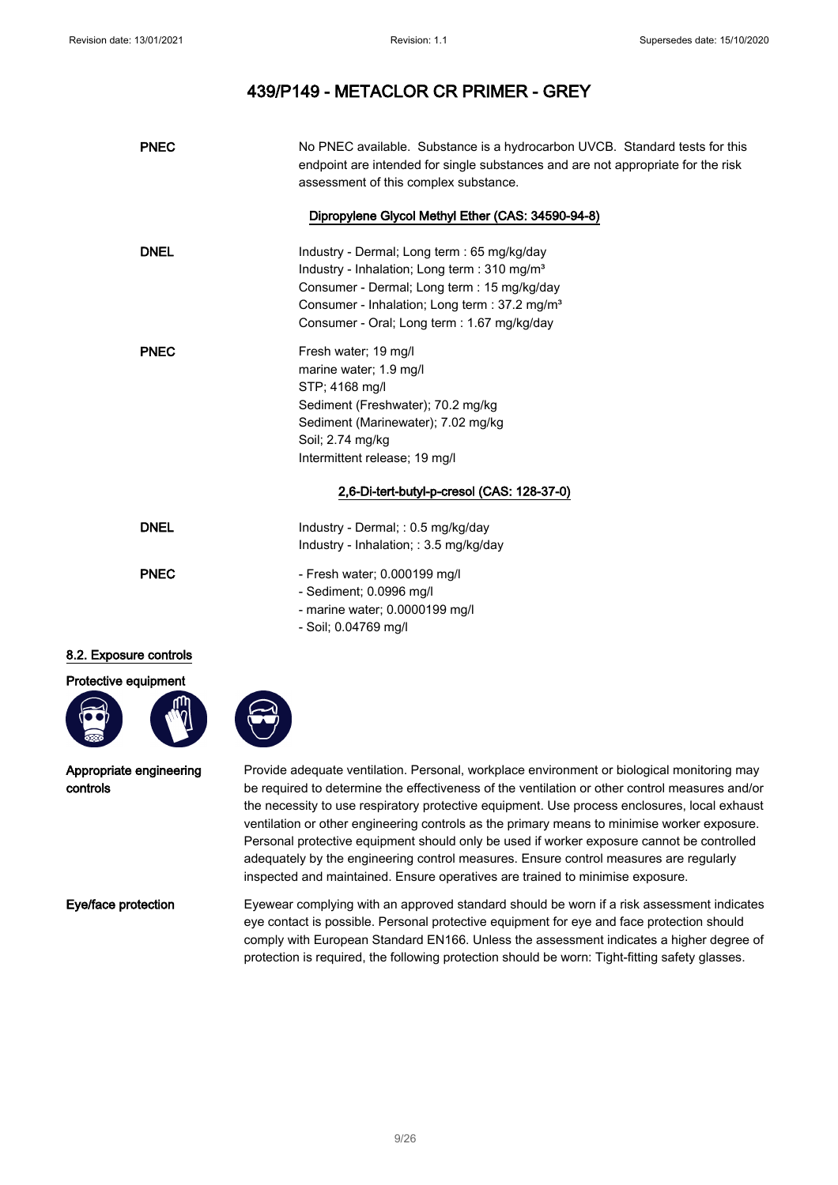| <b>PNEC</b>                         | No PNEC available. Substance is a hydrocarbon UVCB. Standard tests for this<br>endpoint are intended for single substances and are not appropriate for the risk<br>assessment of this complex substance.                                                                                                                                                                                                                                                                                                                                                                                                                                                           |
|-------------------------------------|--------------------------------------------------------------------------------------------------------------------------------------------------------------------------------------------------------------------------------------------------------------------------------------------------------------------------------------------------------------------------------------------------------------------------------------------------------------------------------------------------------------------------------------------------------------------------------------------------------------------------------------------------------------------|
|                                     | Dipropylene Glycol Methyl Ether (CAS: 34590-94-8)                                                                                                                                                                                                                                                                                                                                                                                                                                                                                                                                                                                                                  |
| <b>DNEL</b>                         | Industry - Dermal; Long term : 65 mg/kg/day<br>Industry - Inhalation; Long term : 310 mg/m <sup>3</sup><br>Consumer - Dermal; Long term : 15 mg/kg/day<br>Consumer - Inhalation; Long term : 37.2 mg/m <sup>3</sup><br>Consumer - Oral; Long term : 1.67 mg/kg/day                                                                                                                                                                                                                                                                                                                                                                                                 |
| <b>PNEC</b>                         | Fresh water; 19 mg/l<br>marine water; 1.9 mg/l<br>STP; 4168 mg/l<br>Sediment (Freshwater); 70.2 mg/kg<br>Sediment (Marinewater); 7.02 mg/kg<br>Soil; 2.74 mg/kg<br>Intermittent release; 19 mg/l                                                                                                                                                                                                                                                                                                                                                                                                                                                                   |
|                                     | 2,6-Di-tert-butyl-p-cresol (CAS: 128-37-0)                                                                                                                                                                                                                                                                                                                                                                                                                                                                                                                                                                                                                         |
| <b>DNEL</b>                         | Industry - Dermal; : 0.5 mg/kg/day<br>Industry - Inhalation; : 3.5 mg/kg/day                                                                                                                                                                                                                                                                                                                                                                                                                                                                                                                                                                                       |
| <b>PNEC</b>                         | - Fresh water; 0.000199 mg/l<br>- Sediment; 0.0996 mg/l<br>- marine water; 0.0000199 mg/l<br>- Soil; 0.04769 mg/l                                                                                                                                                                                                                                                                                                                                                                                                                                                                                                                                                  |
| 8.2. Exposure controls              |                                                                                                                                                                                                                                                                                                                                                                                                                                                                                                                                                                                                                                                                    |
| Protective equipment                |                                                                                                                                                                                                                                                                                                                                                                                                                                                                                                                                                                                                                                                                    |
| Appropriate engineering<br>controls | Provide adequate ventilation. Personal, workplace environment or biological monitoring may<br>be required to determine the effectiveness of the ventilation or other control measures and/or<br>the necessity to use respiratory protective equipment. Use process enclosures, local exhaust<br>ventilation or other engineering controls as the primary means to minimise worker exposure.<br>Personal protective equipment should only be used if worker exposure cannot be controlled<br>adequately by the engineering control measures. Ensure control measures are regularly<br>inspected and maintained. Ensure operatives are trained to minimise exposure. |
| Eye/face protection                 | Eyewear complying with an approved standard should be worn if a risk assessment indicates<br>eye contact is possible. Personal protective equipment for eye and face protection should<br>comply with European Standard EN166. Unless the assessment indicates a higher degree of<br>protection is required, the following protection should be worn: Tight-fitting safety glasses.                                                                                                                                                                                                                                                                                |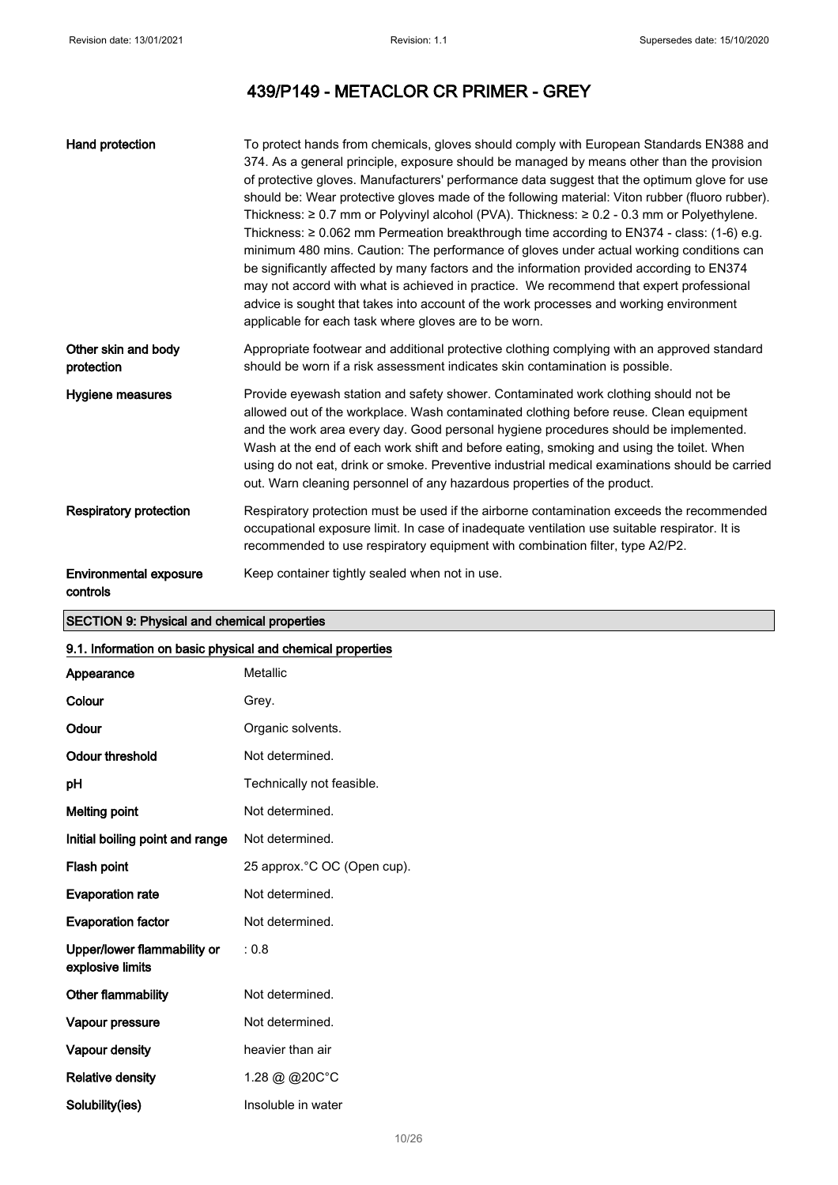| Hand protection                           | To protect hands from chemicals, gloves should comply with European Standards EN388 and<br>374. As a general principle, exposure should be managed by means other than the provision<br>of protective gloves. Manufacturers' performance data suggest that the optimum glove for use<br>should be: Wear protective gloves made of the following material: Viton rubber (fluoro rubber).<br>Thickness: $\geq 0.7$ mm or Polyvinyl alcohol (PVA). Thickness: $\geq 0.2$ - 0.3 mm or Polyethylene.<br>Thickness: $\geq 0.062$ mm Permeation breakthrough time according to EN374 - class: (1-6) e.g.<br>minimum 480 mins. Caution: The performance of gloves under actual working conditions can<br>be significantly affected by many factors and the information provided according to EN374<br>may not accord with what is achieved in practice. We recommend that expert professional<br>advice is sought that takes into account of the work processes and working environment<br>applicable for each task where gloves are to be worn. |
|-------------------------------------------|------------------------------------------------------------------------------------------------------------------------------------------------------------------------------------------------------------------------------------------------------------------------------------------------------------------------------------------------------------------------------------------------------------------------------------------------------------------------------------------------------------------------------------------------------------------------------------------------------------------------------------------------------------------------------------------------------------------------------------------------------------------------------------------------------------------------------------------------------------------------------------------------------------------------------------------------------------------------------------------------------------------------------------------|
| Other skin and body<br>protection         | Appropriate footwear and additional protective clothing complying with an approved standard<br>should be worn if a risk assessment indicates skin contamination is possible.                                                                                                                                                                                                                                                                                                                                                                                                                                                                                                                                                                                                                                                                                                                                                                                                                                                             |
| Hygiene measures                          | Provide eyewash station and safety shower. Contaminated work clothing should not be<br>allowed out of the workplace. Wash contaminated clothing before reuse. Clean equipment<br>and the work area every day. Good personal hygiene procedures should be implemented.<br>Wash at the end of each work shift and before eating, smoking and using the toilet. When<br>using do not eat, drink or smoke. Preventive industrial medical examinations should be carried<br>out. Warn cleaning personnel of any hazardous properties of the product.                                                                                                                                                                                                                                                                                                                                                                                                                                                                                          |
| <b>Respiratory protection</b>             | Respiratory protection must be used if the airborne contamination exceeds the recommended<br>occupational exposure limit. In case of inadequate ventilation use suitable respirator. It is<br>recommended to use respiratory equipment with combination filter, type A2/P2.                                                                                                                                                                                                                                                                                                                                                                                                                                                                                                                                                                                                                                                                                                                                                              |
| <b>Environmental exposure</b><br>controls | Keep container tightly sealed when not in use.                                                                                                                                                                                                                                                                                                                                                                                                                                                                                                                                                                                                                                                                                                                                                                                                                                                                                                                                                                                           |

## SECTION 9: Physical and chemical properties

## 9.1. Information on basic physical and chemical properties

| Appearance                                      | Metallic                     |
|-------------------------------------------------|------------------------------|
| Colour                                          | Grey.                        |
| Odour                                           | Organic solvents.            |
| <b>Odour threshold</b>                          | Not determined.              |
| рH                                              | Technically not feasible.    |
| <b>Melting point</b>                            | Not determined.              |
| Initial boiling point and range                 | Not determined.              |
| Flash point                                     | 25 approx. °C OC (Open cup). |
| <b>Evaporation rate</b>                         | Not determined.              |
| <b>Evaporation factor</b>                       | Not determined.              |
| Upper/lower flammability or<br>explosive limits | : 0.8                        |
| Other flammability                              | Not determined.              |
| Vapour pressure                                 | Not determined.              |
| Vapour density                                  | heavier than air             |
| <b>Relative density</b>                         | 1.28 @ @20C°C                |
| Solubility(ies)                                 | Insoluble in water           |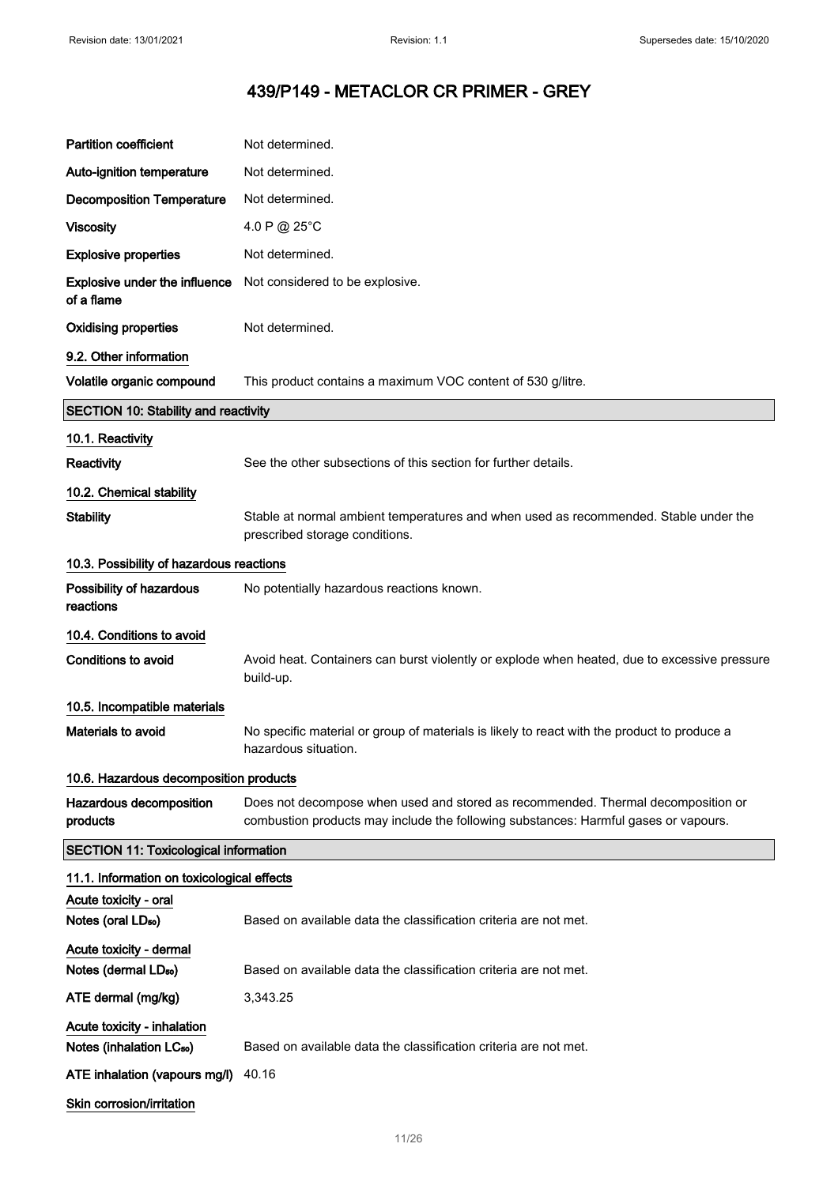| <b>Partition coefficient</b>                                | Not determined.                                                                                                                                                         |  |
|-------------------------------------------------------------|-------------------------------------------------------------------------------------------------------------------------------------------------------------------------|--|
| Auto-ignition temperature                                   | Not determined.                                                                                                                                                         |  |
| <b>Decomposition Temperature</b>                            | Not determined.                                                                                                                                                         |  |
| <b>Viscosity</b>                                            | 4.0 P @ 25°C                                                                                                                                                            |  |
| <b>Explosive properties</b>                                 | Not determined.                                                                                                                                                         |  |
| <b>Explosive under the influence</b><br>of a flame          | Not considered to be explosive.                                                                                                                                         |  |
| <b>Oxidising properties</b>                                 | Not determined.                                                                                                                                                         |  |
| 9.2. Other information                                      |                                                                                                                                                                         |  |
| Volatile organic compound                                   | This product contains a maximum VOC content of 530 g/litre.                                                                                                             |  |
| <b>SECTION 10: Stability and reactivity</b>                 |                                                                                                                                                                         |  |
| 10.1. Reactivity                                            |                                                                                                                                                                         |  |
| Reactivity                                                  | See the other subsections of this section for further details.                                                                                                          |  |
| 10.2. Chemical stability                                    |                                                                                                                                                                         |  |
| <b>Stability</b>                                            | Stable at normal ambient temperatures and when used as recommended. Stable under the<br>prescribed storage conditions.                                                  |  |
| 10.3. Possibility of hazardous reactions                    |                                                                                                                                                                         |  |
| Possibility of hazardous<br>reactions                       | No potentially hazardous reactions known.                                                                                                                               |  |
| 10.4. Conditions to avoid                                   |                                                                                                                                                                         |  |
| <b>Conditions to avoid</b>                                  | Avoid heat. Containers can burst violently or explode when heated, due to excessive pressure<br>build-up.                                                               |  |
| 10.5. Incompatible materials                                |                                                                                                                                                                         |  |
| Materials to avoid                                          | No specific material or group of materials is likely to react with the product to produce a<br>hazardous situation.                                                     |  |
| 10.6. Hazardous decomposition products                      |                                                                                                                                                                         |  |
| Hazardous decomposition<br>products                         | Does not decompose when used and stored as recommended. Thermal decomposition or<br>combustion products may include the following substances: Harmful gases or vapours. |  |
| <b>SECTION 11: Toxicological information</b>                |                                                                                                                                                                         |  |
| 11.1. Information on toxicological effects                  |                                                                                                                                                                         |  |
| Acute toxicity - oral                                       |                                                                                                                                                                         |  |
| Notes (oral LD <sub>50</sub> )                              | Based on available data the classification criteria are not met.                                                                                                        |  |
| Acute toxicity - dermal<br>Notes (dermal LD <sub>50</sub> ) | Based on available data the classification criteria are not met.                                                                                                        |  |
| ATE dermal (mg/kg)                                          | 3,343.25                                                                                                                                                                |  |
| Acute toxicity - inhalation                                 |                                                                                                                                                                         |  |
| Notes (inhalation LC <sub>50</sub> )                        | Based on available data the classification criteria are not met.                                                                                                        |  |
| ATE inhalation (vapours mg/l)                               | 40.16                                                                                                                                                                   |  |
| Skin corrosion/irritation                                   |                                                                                                                                                                         |  |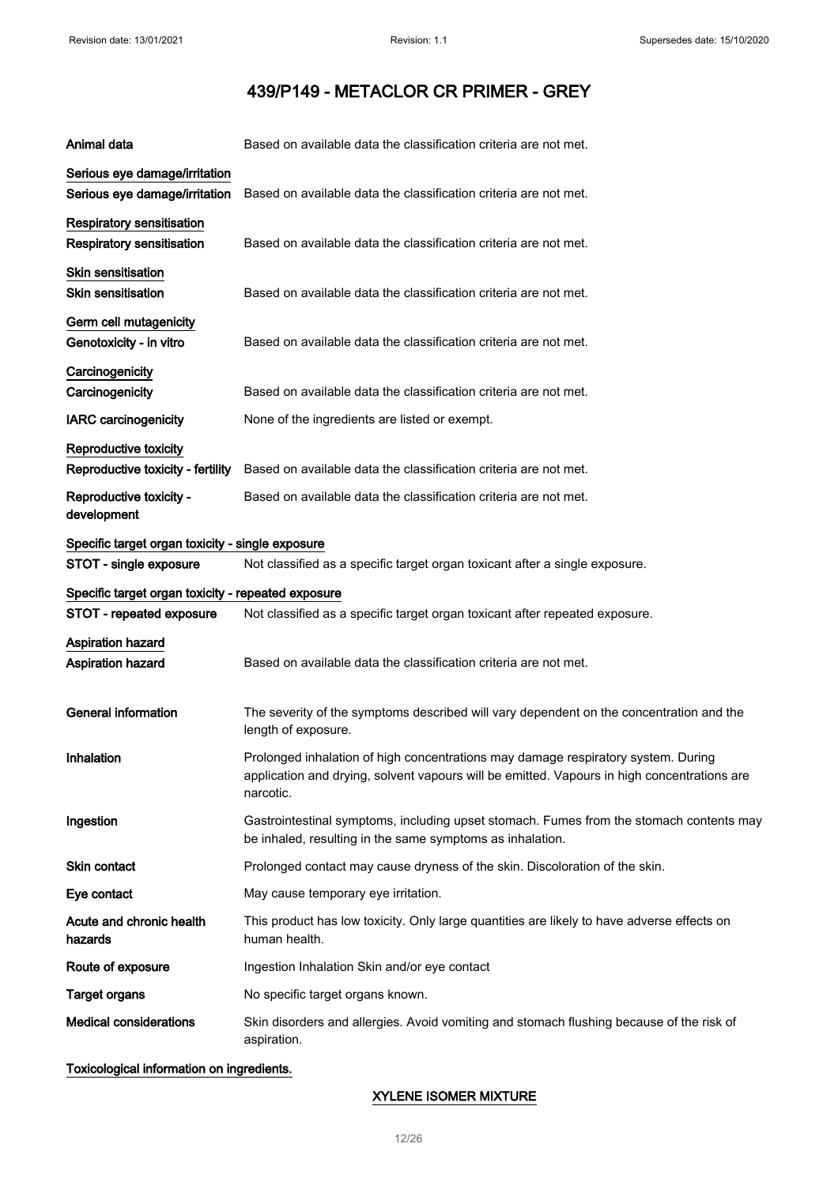| Animal data                                                    | Based on available data the classification criteria are not met.                                                                                                                              |
|----------------------------------------------------------------|-----------------------------------------------------------------------------------------------------------------------------------------------------------------------------------------------|
| Serious eye damage/irritation<br>Serious eye damage/irritation | Based on available data the classification criteria are not met.                                                                                                                              |
| Respiratory sensitisation<br><b>Respiratory sensitisation</b>  | Based on available data the classification criteria are not met.                                                                                                                              |
| Skin sensitisation<br><b>Skin sensitisation</b>                | Based on available data the classification criteria are not met.                                                                                                                              |
| Germ cell mutagenicity<br>Genotoxicity - in vitro              | Based on available data the classification criteria are not met.                                                                                                                              |
| Carcinogenicity<br>Carcinogenicity                             | Based on available data the classification criteria are not met.                                                                                                                              |
| <b>IARC</b> carcinogenicity                                    | None of the ingredients are listed or exempt.                                                                                                                                                 |
| Reproductive toxicity                                          |                                                                                                                                                                                               |
| Reproductive toxicity - fertility                              | Based on available data the classification criteria are not met.                                                                                                                              |
| Reproductive toxicity -<br>development                         | Based on available data the classification criteria are not met.                                                                                                                              |
| Specific target organ toxicity - single exposure               |                                                                                                                                                                                               |
| STOT - single exposure                                         | Not classified as a specific target organ toxicant after a single exposure.                                                                                                                   |
| Specific target organ toxicity - repeated exposure             |                                                                                                                                                                                               |
| STOT - repeated exposure                                       | Not classified as a specific target organ toxicant after repeated exposure.                                                                                                                   |
| Aspiration hazard<br>Aspiration hazard                         | Based on available data the classification criteria are not met.                                                                                                                              |
| <b>General information</b>                                     | The severity of the symptoms described will vary dependent on the concentration and the<br>length of exposure.                                                                                |
| Inhalation                                                     | Prolonged inhalation of high concentrations may damage respiratory system. During<br>application and drying, solvent vapours will be emitted. Vapours in high concentrations are<br>narcotic. |
| Ingestion                                                      | Gastrointestinal symptoms, including upset stomach. Fumes from the stomach contents may<br>be inhaled, resulting in the same symptoms as inhalation.                                          |
| Skin contact                                                   | Prolonged contact may cause dryness of the skin. Discoloration of the skin.                                                                                                                   |
| Eye contact                                                    | May cause temporary eye irritation.                                                                                                                                                           |
| Acute and chronic health<br>hazards                            | This product has low toxicity. Only large quantities are likely to have adverse effects on<br>human health.                                                                                   |
| Route of exposure                                              | Ingestion Inhalation Skin and/or eye contact                                                                                                                                                  |
| <b>Target organs</b>                                           | No specific target organs known.                                                                                                                                                              |
| <b>Medical considerations</b>                                  | Skin disorders and allergies. Avoid vomiting and stomach flushing because of the risk of<br>aspiration.                                                                                       |

## Toxicological information on ingredients.

## XYLENE ISOMER MIXTURE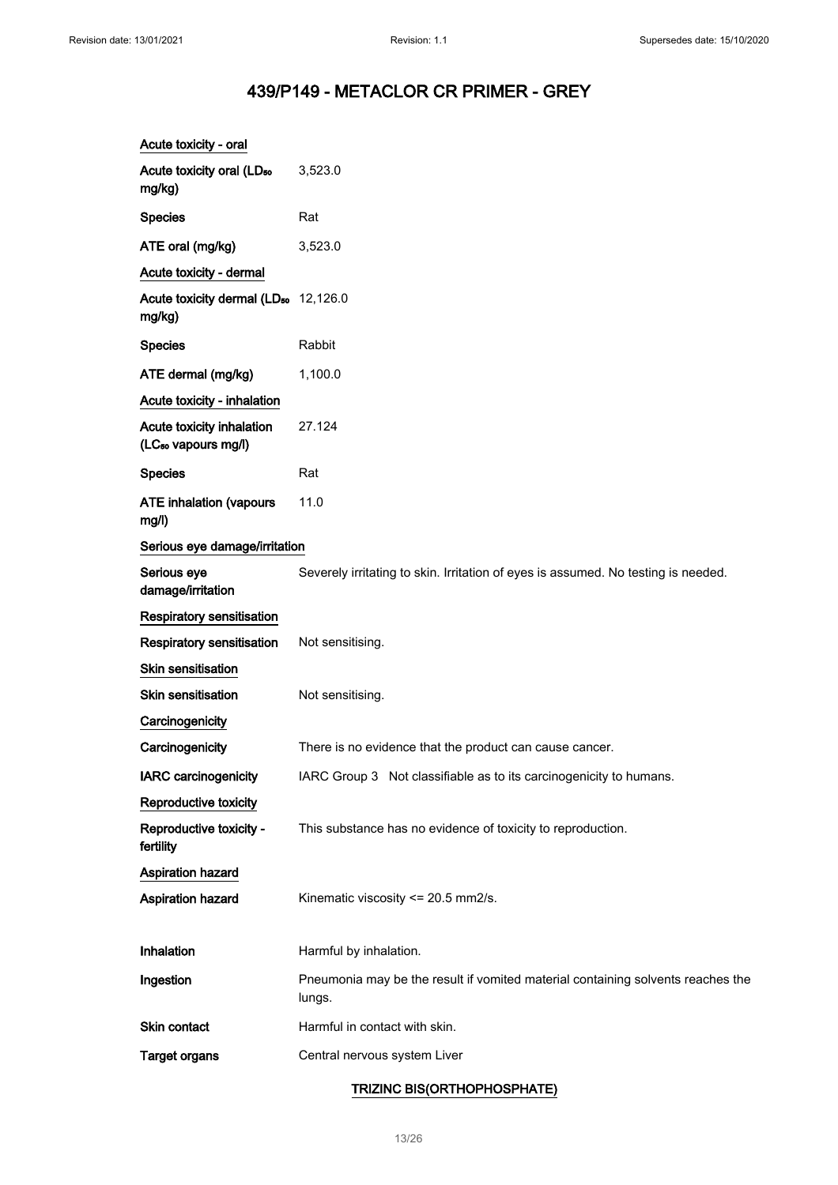| Acute toxicity - oral                                        |                                                                                           |
|--------------------------------------------------------------|-------------------------------------------------------------------------------------------|
| Acute toxicity oral (LD <sub>50</sub><br>mg/kg)              | 3,523.0                                                                                   |
| <b>Species</b>                                               | Rat                                                                                       |
| ATE oral (mg/kg)                                             | 3,523.0                                                                                   |
| Acute toxicity - dermal                                      |                                                                                           |
| Acute toxicity dermal (LD <sub>50</sub> 12,126.0<br>mg/kg)   |                                                                                           |
| <b>Species</b>                                               | Rabbit                                                                                    |
| ATE dermal (mg/kg)                                           | 1,100.0                                                                                   |
| Acute toxicity - inhalation                                  |                                                                                           |
| Acute toxicity inhalation<br>(LC <sub>50</sub> vapours mg/l) | 27.124                                                                                    |
| <b>Species</b>                                               | Rat                                                                                       |
| <b>ATE inhalation (vapours</b><br>mg/l)                      | 11.0                                                                                      |
| Serious eye damage/irritation                                |                                                                                           |
| Serious eye<br>damage/irritation                             | Severely irritating to skin. Irritation of eyes is assumed. No testing is needed.         |
| Respiratory sensitisation                                    |                                                                                           |
| Respiratory sensitisation                                    | Not sensitising.                                                                          |
| Skin sensitisation                                           |                                                                                           |
| <b>Skin sensitisation</b>                                    | Not sensitising.                                                                          |
| Carcinogenicity                                              |                                                                                           |
| Carcinogenicity                                              | There is no evidence that the product can cause cancer.                                   |
| <b>IARC</b> carcinogenicity                                  | IARC Group 3 Not classifiable as to its carcinogenicity to humans.                        |
| Reproductive toxicity                                        |                                                                                           |
| Reproductive toxicity -<br>fertility                         | This substance has no evidence of toxicity to reproduction.                               |
| Aspiration hazard                                            |                                                                                           |
| Aspiration hazard                                            | Kinematic viscosity <= 20.5 mm2/s.                                                        |
|                                                              |                                                                                           |
| Inhalation                                                   | Harmful by inhalation.                                                                    |
| Ingestion                                                    | Pneumonia may be the result if vomited material containing solvents reaches the<br>lungs. |
| Skin contact                                                 | Harmful in contact with skin.                                                             |
| <b>Target organs</b>                                         | Central nervous system Liver                                                              |

## TRIZINC BIS(ORTHOPHOSPHATE)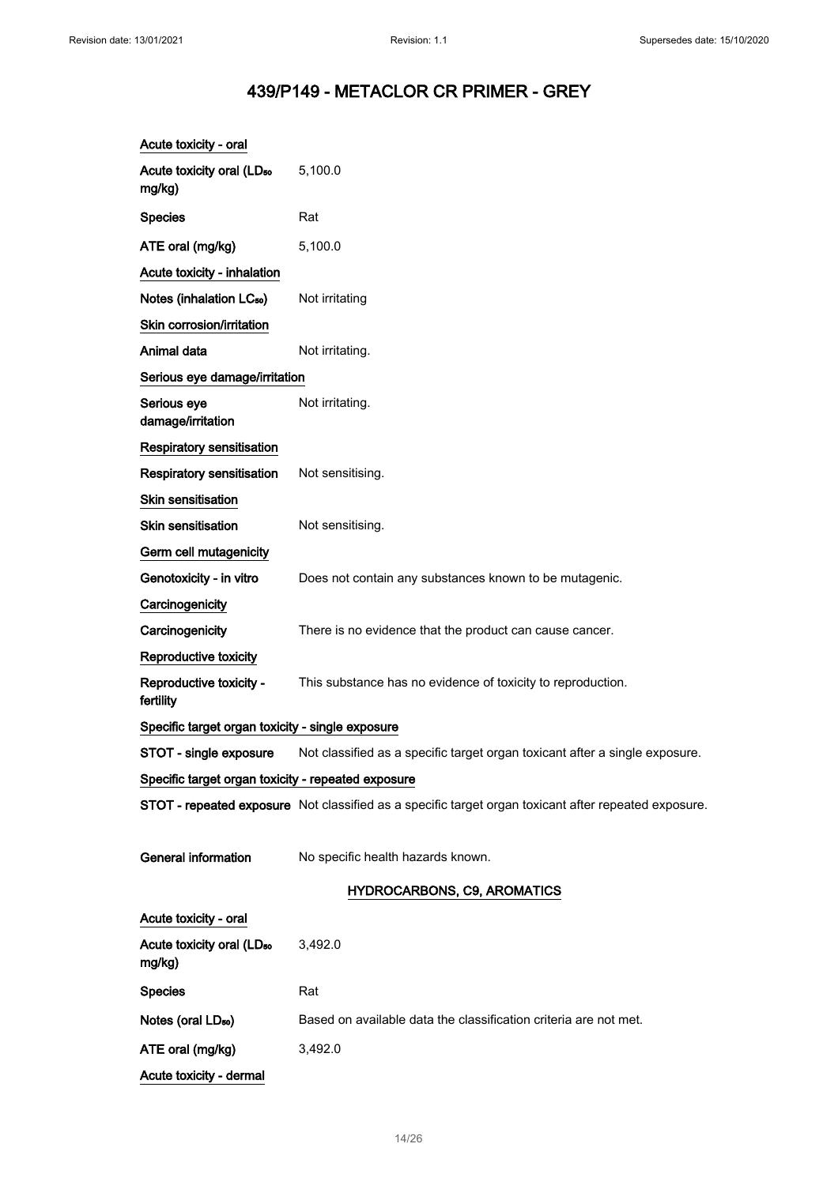| Acute toxicity - oral                              |                                                                                                      |
|----------------------------------------------------|------------------------------------------------------------------------------------------------------|
| Acute toxicity oral (LD <sub>50</sub><br>mg/kg)    | 5,100.0                                                                                              |
| <b>Species</b>                                     | Rat                                                                                                  |
| ATE oral (mg/kg)                                   | 5,100.0                                                                                              |
| Acute toxicity - inhalation                        |                                                                                                      |
| Notes (inhalation LC <sub>50</sub> )               | Not irritating                                                                                       |
| Skin corrosion/irritation                          |                                                                                                      |
| Animal data                                        | Not irritating.                                                                                      |
| Serious eye damage/irritation                      |                                                                                                      |
| Serious eye<br>damage/irritation                   | Not irritating.                                                                                      |
| Respiratory sensitisation                          |                                                                                                      |
| <b>Respiratory sensitisation</b>                   | Not sensitising.                                                                                     |
| <b>Skin sensitisation</b>                          |                                                                                                      |
| <b>Skin sensitisation</b>                          | Not sensitising.                                                                                     |
| Germ cell mutagenicity                             |                                                                                                      |
| Genotoxicity - in vitro                            | Does not contain any substances known to be mutagenic.                                               |
| Carcinogenicity                                    |                                                                                                      |
| Carcinogenicity                                    | There is no evidence that the product can cause cancer.                                              |
| Reproductive toxicity                              |                                                                                                      |
| Reproductive toxicity -<br>fertility               | This substance has no evidence of toxicity to reproduction.                                          |
| Specific target organ toxicity - single exposure   |                                                                                                      |
| STOT - single exposure                             | Not classified as a specific target organ toxicant after a single exposure.                          |
| Specific target organ toxicity - repeated exposure |                                                                                                      |
|                                                    | STOT - repeated exposure Not classified as a specific target organ toxicant after repeated exposure. |
| <b>General information</b>                         | No specific health hazards known.                                                                    |
|                                                    | <b>HYDROCARBONS, C9, AROMATICS</b>                                                                   |
| Acute toxicity - oral                              |                                                                                                      |
| Acute toxicity oral (LD <sub>50</sub><br>mg/kg)    | 3,492.0                                                                                              |
| <b>Species</b>                                     | Rat                                                                                                  |
| Notes (oral LD <sub>50</sub> )                     | Based on available data the classification criteria are not met.                                     |
| ATE oral (mg/kg)                                   | 3,492.0                                                                                              |
| Acute toxicity - dermal                            |                                                                                                      |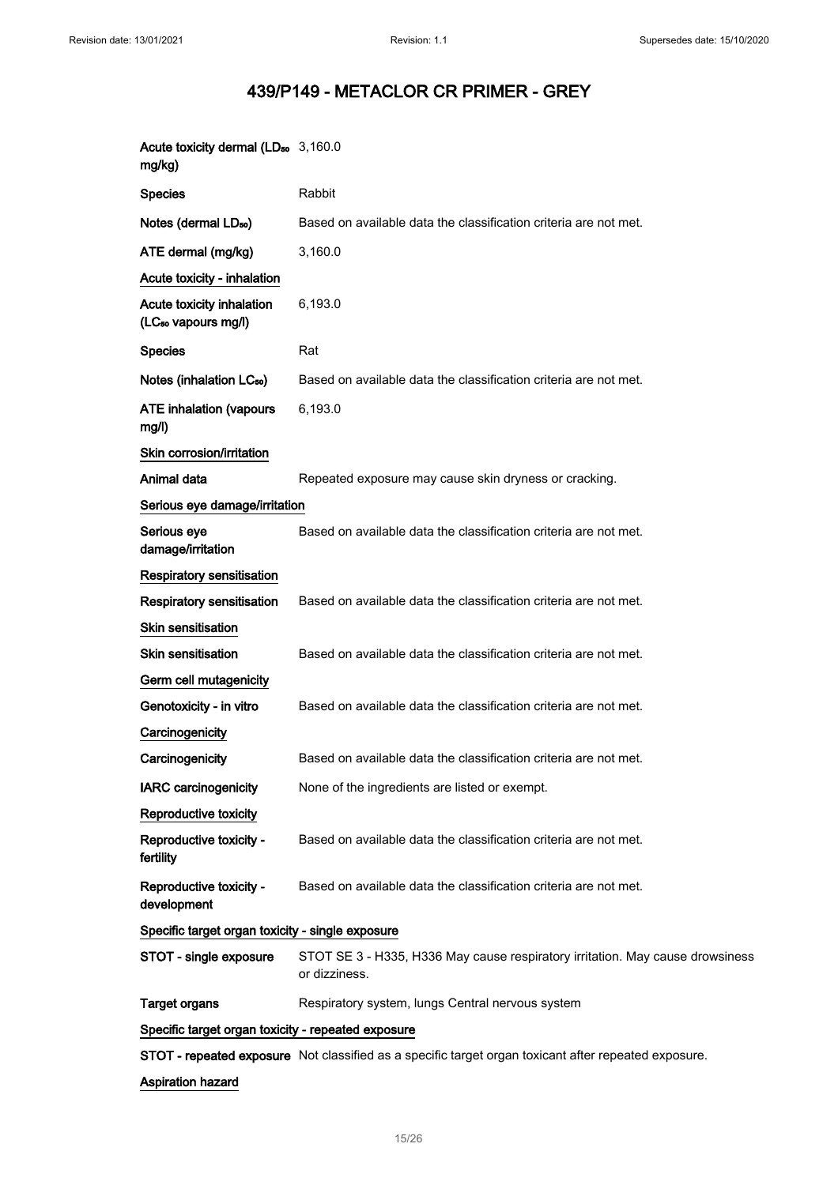| Acute toxicity dermal (LD <sub>50</sub> 3,160.0<br>mg/kg)    |                                                                                                      |  |
|--------------------------------------------------------------|------------------------------------------------------------------------------------------------------|--|
| <b>Species</b>                                               | Rabbit                                                                                               |  |
| Notes (dermal LD <sub>50</sub> )                             | Based on available data the classification criteria are not met.                                     |  |
| ATE dermal (mg/kg)                                           | 3,160.0                                                                                              |  |
| Acute toxicity - inhalation                                  |                                                                                                      |  |
| Acute toxicity inhalation<br>(LC <sub>50</sub> vapours mg/l) | 6,193.0                                                                                              |  |
| <b>Species</b>                                               | Rat                                                                                                  |  |
| Notes (inhalation LC <sub>50</sub> )                         | Based on available data the classification criteria are not met.                                     |  |
| <b>ATE inhalation (vapours</b><br>mg/l)                      | 6,193.0                                                                                              |  |
| Skin corrosion/irritation                                    |                                                                                                      |  |
| Animal data                                                  | Repeated exposure may cause skin dryness or cracking.                                                |  |
| Serious eye damage/irritation                                |                                                                                                      |  |
| Serious eye<br>damage/irritation                             | Based on available data the classification criteria are not met.                                     |  |
| <b>Respiratory sensitisation</b>                             |                                                                                                      |  |
| <b>Respiratory sensitisation</b>                             | Based on available data the classification criteria are not met.                                     |  |
| <b>Skin sensitisation</b>                                    |                                                                                                      |  |
| <b>Skin sensitisation</b>                                    | Based on available data the classification criteria are not met.                                     |  |
| Germ cell mutagenicity                                       |                                                                                                      |  |
| Genotoxicity - in vitro                                      | Based on available data the classification criteria are not met.                                     |  |
| Carcinogenicity                                              |                                                                                                      |  |
| Carcinogenicity                                              | Based on available data the classification criteria are not met.                                     |  |
| <b>IARC carcinogenicity</b>                                  | None of the ingredients are listed or exempt.                                                        |  |
| Reproductive toxicity                                        |                                                                                                      |  |
| Reproductive toxicity -<br>fertility                         | Based on available data the classification criteria are not met.                                     |  |
| Reproductive toxicity -<br>development                       | Based on available data the classification criteria are not met.                                     |  |
| Specific target organ toxicity - single exposure             |                                                                                                      |  |
| STOT - single exposure                                       | STOT SE 3 - H335, H336 May cause respiratory irritation. May cause drowsiness<br>or dizziness.       |  |
| <b>Target organs</b>                                         | Respiratory system, lungs Central nervous system                                                     |  |
| Specific target organ toxicity - repeated exposure           |                                                                                                      |  |
|                                                              | STOT - repeated exposure Not classified as a specific target organ toxicant after repeated exposure. |  |
| <b>Aspiration hazard</b>                                     |                                                                                                      |  |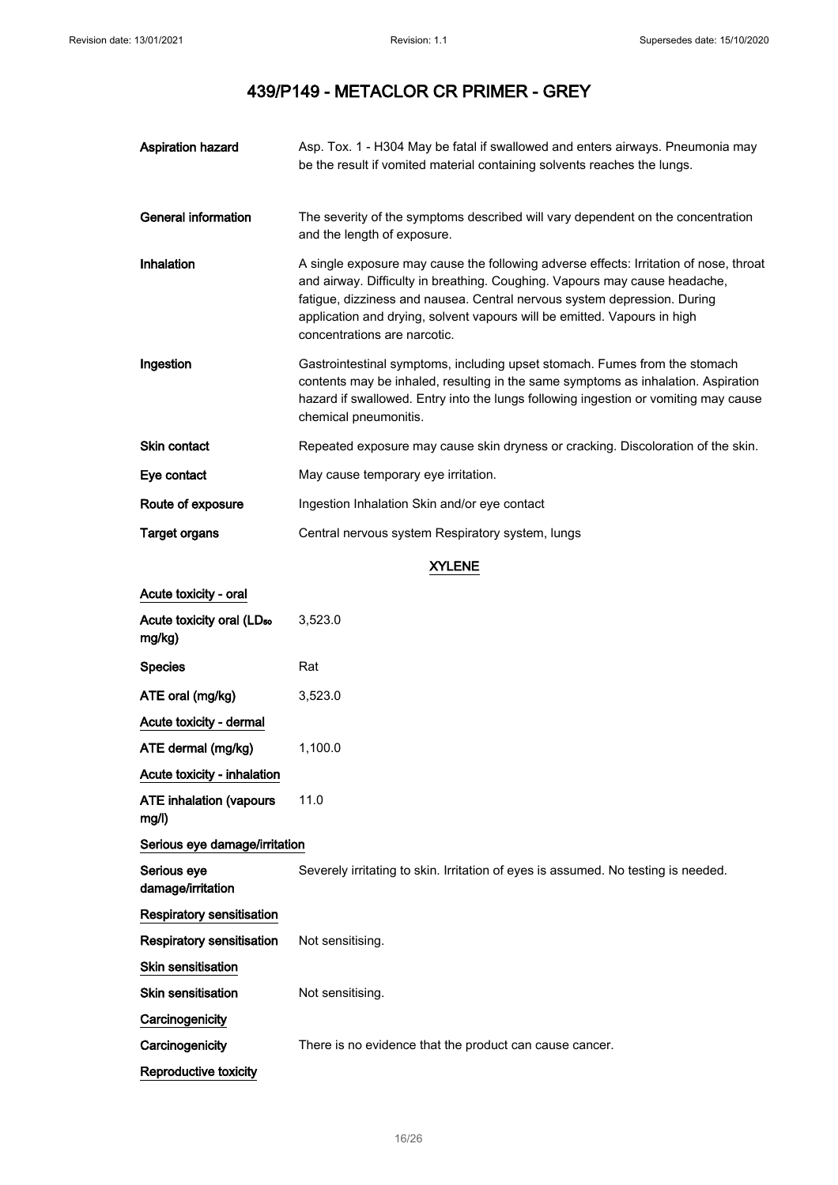| <b>Aspiration hazard</b>                        | Asp. Tox. 1 - H304 May be fatal if swallowed and enters airways. Pneumonia may<br>be the result if vomited material containing solvents reaches the lungs.                                                                                                                                                                                                  |  |
|-------------------------------------------------|-------------------------------------------------------------------------------------------------------------------------------------------------------------------------------------------------------------------------------------------------------------------------------------------------------------------------------------------------------------|--|
| <b>General information</b>                      | The severity of the symptoms described will vary dependent on the concentration<br>and the length of exposure.                                                                                                                                                                                                                                              |  |
| Inhalation                                      | A single exposure may cause the following adverse effects: Irritation of nose, throat<br>and airway. Difficulty in breathing. Coughing. Vapours may cause headache,<br>fatigue, dizziness and nausea. Central nervous system depression. During<br>application and drying, solvent vapours will be emitted. Vapours in high<br>concentrations are narcotic. |  |
| Ingestion                                       | Gastrointestinal symptoms, including upset stomach. Fumes from the stomach<br>contents may be inhaled, resulting in the same symptoms as inhalation. Aspiration<br>hazard if swallowed. Entry into the lungs following ingestion or vomiting may cause<br>chemical pneumonitis.                                                                             |  |
| Skin contact                                    | Repeated exposure may cause skin dryness or cracking. Discoloration of the skin.                                                                                                                                                                                                                                                                            |  |
| Eye contact                                     | May cause temporary eye irritation.                                                                                                                                                                                                                                                                                                                         |  |
| Route of exposure                               | Ingestion Inhalation Skin and/or eye contact                                                                                                                                                                                                                                                                                                                |  |
| <b>Target organs</b>                            | Central nervous system Respiratory system, lungs                                                                                                                                                                                                                                                                                                            |  |
|                                                 | <b>XYLENE</b>                                                                                                                                                                                                                                                                                                                                               |  |
| Acute toxicity - oral                           |                                                                                                                                                                                                                                                                                                                                                             |  |
| Acute toxicity oral (LD <sub>50</sub><br>mg/kg) | 3,523.0                                                                                                                                                                                                                                                                                                                                                     |  |
| <b>Species</b>                                  | Rat                                                                                                                                                                                                                                                                                                                                                         |  |
| ATE oral (mg/kg)                                | 3,523.0                                                                                                                                                                                                                                                                                                                                                     |  |
| Acute toxicity - dermal                         |                                                                                                                                                                                                                                                                                                                                                             |  |
| ATE dermal (mg/kg)                              | 1,100.0                                                                                                                                                                                                                                                                                                                                                     |  |
| Acute toxicity - inhalation                     |                                                                                                                                                                                                                                                                                                                                                             |  |
| <b>ATE inhalation (vapours</b><br>mg/l)         | 11.0                                                                                                                                                                                                                                                                                                                                                        |  |
| Serious eye damage/irritation                   |                                                                                                                                                                                                                                                                                                                                                             |  |
| Serious eye<br>damage/irritation                | Severely irritating to skin. Irritation of eyes is assumed. No testing is needed.                                                                                                                                                                                                                                                                           |  |
| <b>Respiratory sensitisation</b>                |                                                                                                                                                                                                                                                                                                                                                             |  |
| <b>Respiratory sensitisation</b>                | Not sensitising.                                                                                                                                                                                                                                                                                                                                            |  |
| Skin sensitisation                              |                                                                                                                                                                                                                                                                                                                                                             |  |
| <b>Skin sensitisation</b>                       | Not sensitising.                                                                                                                                                                                                                                                                                                                                            |  |
| Carcinogenicity                                 |                                                                                                                                                                                                                                                                                                                                                             |  |
| Carcinogenicity                                 | There is no evidence that the product can cause cancer.                                                                                                                                                                                                                                                                                                     |  |
| Reproductive toxicity                           |                                                                                                                                                                                                                                                                                                                                                             |  |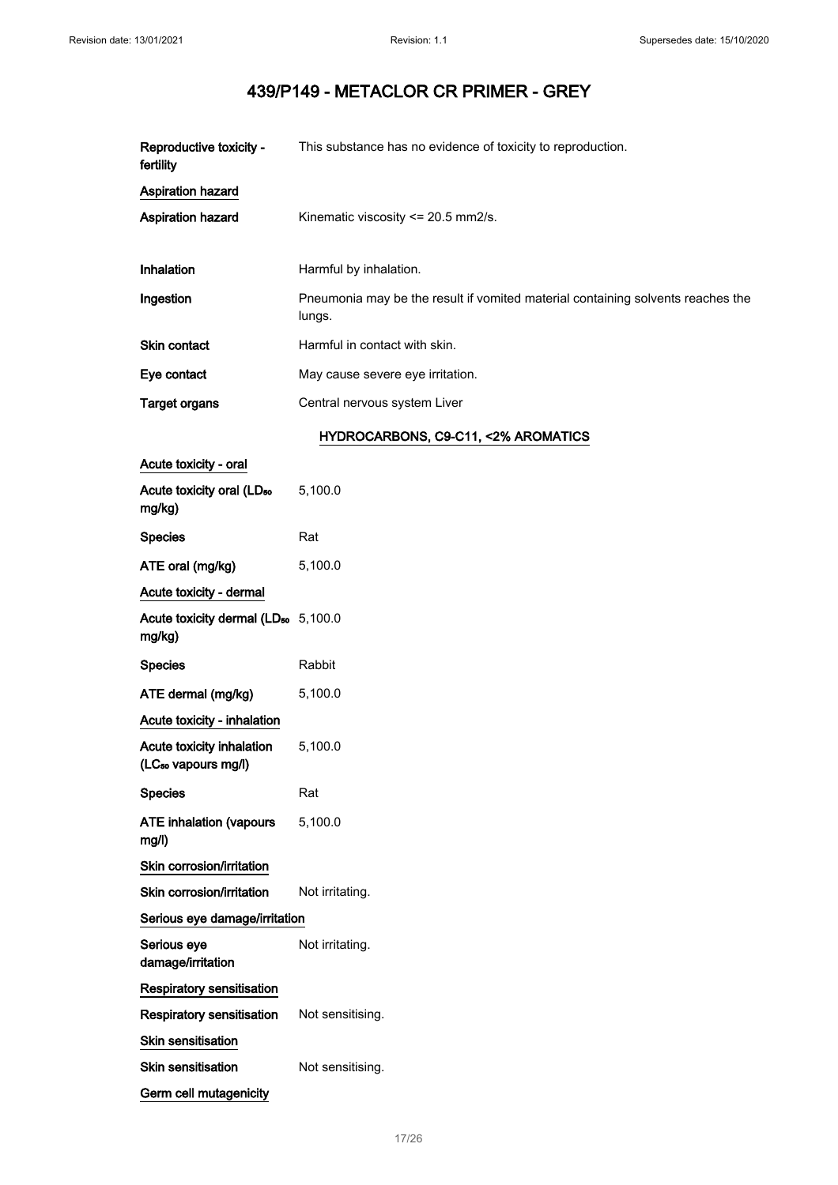| Reproductive toxicity -<br>fertility            | This substance has no evidence of toxicity to reproduction.                               |
|-------------------------------------------------|-------------------------------------------------------------------------------------------|
| Aspiration hazard                               |                                                                                           |
| <b>Aspiration hazard</b>                        | Kinematic viscosity $\leq$ 20.5 mm2/s.                                                    |
| Inhalation                                      | Harmful by inhalation.                                                                    |
| Ingestion                                       | Pneumonia may be the result if vomited material containing solvents reaches the<br>lungs. |
| <b>Skin contact</b>                             | Harmful in contact with skin.                                                             |
| Eye contact                                     | May cause severe eye irritation.                                                          |
| <b>Target organs</b>                            | Central nervous system Liver                                                              |
|                                                 | HYDROCARBONS, C9-C11, <2% AROMATICS                                                       |
| Acute toxicity - oral                           |                                                                                           |
| Acute toxicity oral (LD <sub>50</sub><br>mg/kg) | 5,100.0                                                                                   |
| <b>Species</b>                                  | Rat                                                                                       |
| ATE oral (mg/kg)                                | 5,100.0                                                                                   |

| ATE ORIH (MYKY)                                              | ວ. ເບບ.ບ         |
|--------------------------------------------------------------|------------------|
| Acute toxicity - dermal                                      |                  |
| Acute toxicity dermal (LD <sub>50</sub> 5,100.0<br>mg/kg)    |                  |
| <b>Species</b>                                               | Rabbit           |
| ATE dermal (mg/kg)                                           | 5,100.0          |
| Acute toxicity - inhalation                                  |                  |
| Acute toxicity inhalation<br>(LC <sub>50</sub> vapours mg/l) | 5,100.0          |
| <b>Species</b>                                               | Rat              |
| <b>ATE inhalation (vapours</b><br>mq/l                       | 5,100.0          |
| Skin corrosion/irritation                                    |                  |
| Skin corrosion/irritation                                    | Not irritating.  |
| Serious eye damage/irritation                                |                  |
| Serious eye<br>damage/irritation                             | Not irritating.  |
| Respiratory sensitisation                                    |                  |
| Respiratory sensitisation                                    | Not sensitising. |
| <b>Skin sensitisation</b>                                    |                  |
| <b>Skin sensitisation</b>                                    | Not sensitising. |
| Germ cell mutagenicity                                       |                  |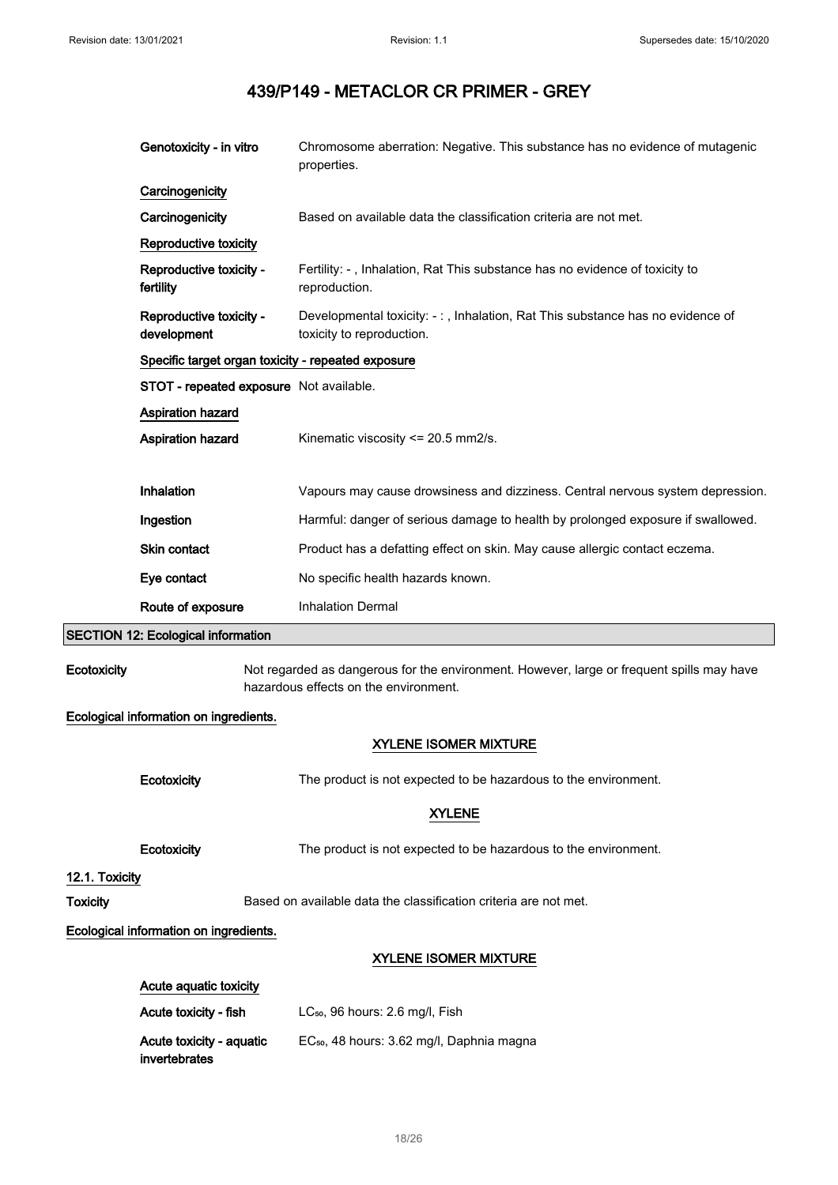|                 | Genotoxicity - in vitro                            | Chromosome aberration: Negative. This substance has no evidence of mutagenic<br>properties.                                        |
|-----------------|----------------------------------------------------|------------------------------------------------------------------------------------------------------------------------------------|
|                 | Carcinogenicity                                    |                                                                                                                                    |
|                 | Carcinogenicity                                    | Based on available data the classification criteria are not met.                                                                   |
|                 | Reproductive toxicity                              |                                                                                                                                    |
|                 | Reproductive toxicity -<br>fertility               | Fertility: -, Inhalation, Rat This substance has no evidence of toxicity to<br>reproduction.                                       |
|                 | Reproductive toxicity -<br>development             | Developmental toxicity: -:, Inhalation, Rat This substance has no evidence of<br>toxicity to reproduction.                         |
|                 | Specific target organ toxicity - repeated exposure |                                                                                                                                    |
|                 | STOT - repeated exposure Not available.            |                                                                                                                                    |
|                 | Aspiration hazard                                  |                                                                                                                                    |
|                 | Aspiration hazard                                  | Kinematic viscosity <= 20.5 mm2/s.                                                                                                 |
|                 |                                                    |                                                                                                                                    |
|                 | Inhalation                                         | Vapours may cause drowsiness and dizziness. Central nervous system depression.                                                     |
|                 | Ingestion                                          | Harmful: danger of serious damage to health by prolonged exposure if swallowed.                                                    |
|                 | Skin contact                                       | Product has a defatting effect on skin. May cause allergic contact eczema.                                                         |
|                 | Eye contact                                        | No specific health hazards known.                                                                                                  |
|                 | Route of exposure                                  | <b>Inhalation Dermal</b>                                                                                                           |
|                 | <b>SECTION 12: Ecological information</b>          |                                                                                                                                    |
| Ecotoxicity     |                                                    | Not regarded as dangerous for the environment. However, large or frequent spills may have<br>hazardous effects on the environment. |
|                 | Ecological information on ingredients.             |                                                                                                                                    |
|                 |                                                    | <b>XYLENE ISOMER MIXTURE</b>                                                                                                       |
|                 | Ecotoxicity                                        | The product is not expected to be hazardous to the environment.                                                                    |
|                 |                                                    | <b>XYLENE</b>                                                                                                                      |
|                 | Ecotoxicity                                        | The product is not expected to be hazardous to the environment.                                                                    |
| 12.1. Toxicity  |                                                    |                                                                                                                                    |
| <b>Toxicity</b> |                                                    | Based on available data the classification criteria are not met.                                                                   |
|                 | Ecological information on ingredients.             |                                                                                                                                    |
|                 |                                                    | <b>XYLENE ISOMER MIXTURE</b>                                                                                                       |
|                 | Acute aquatic toxicity                             |                                                                                                                                    |
|                 | Acute toxicity - fish                              | LC <sub>50</sub> , 96 hours: 2.6 mg/l, Fish                                                                                        |
|                 | Acute toxicity - aquatic<br>invertebrates          | EC <sub>50</sub> , 48 hours: 3.62 mg/l, Daphnia magna                                                                              |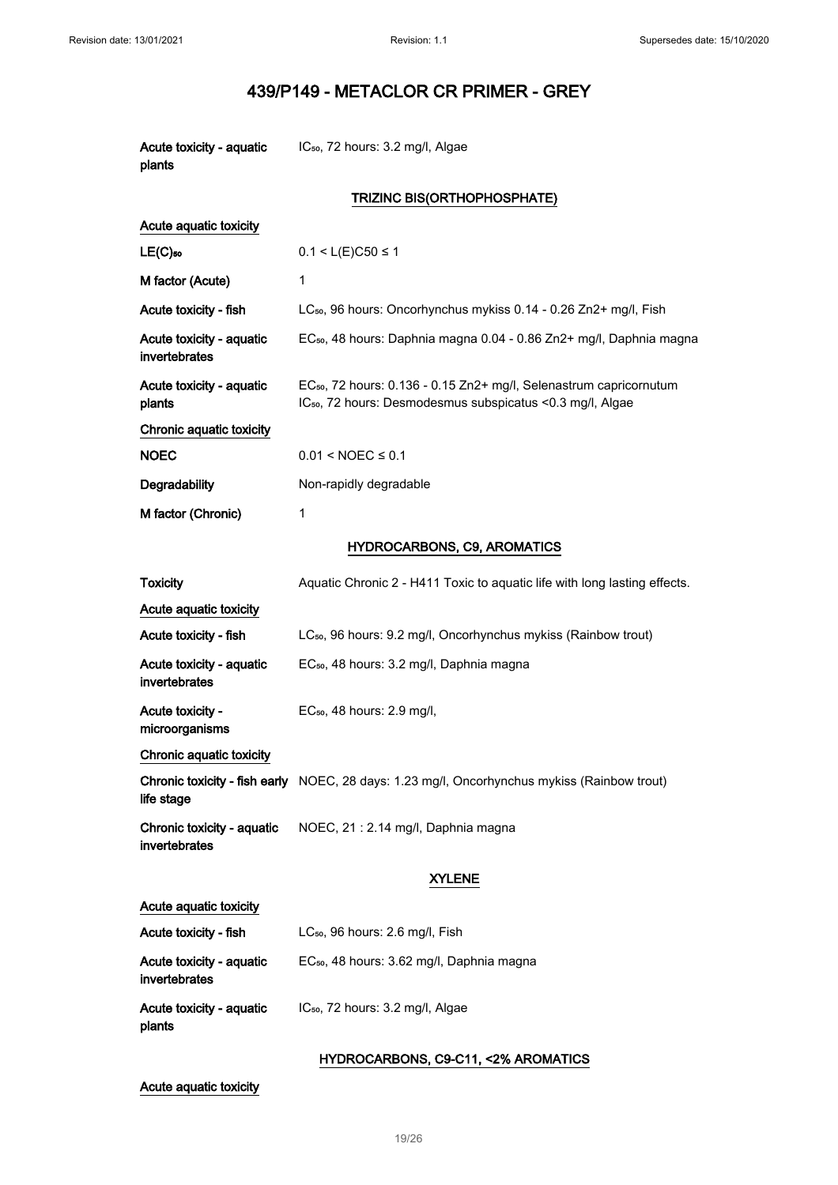| Acute toxicity - aquatic<br>plants          | IC <sub>50</sub> , 72 hours: 3.2 mg/l, Algae                                                                                                             |
|---------------------------------------------|----------------------------------------------------------------------------------------------------------------------------------------------------------|
|                                             | TRIZINC BIS(ORTHOPHOSPHATE)                                                                                                                              |
| Acute aquatic toxicity                      |                                                                                                                                                          |
| $LE(C)$ <sub>50</sub>                       | $0.1 < L(E)C50 \le 1$                                                                                                                                    |
| M factor (Acute)                            | 1                                                                                                                                                        |
| Acute toxicity - fish                       | LC <sub>50</sub> , 96 hours: Oncorhynchus mykiss 0.14 - 0.26 Zn2+ mg/l, Fish                                                                             |
| Acute toxicity - aquatic<br>invertebrates   | EC <sub>50</sub> , 48 hours: Daphnia magna 0.04 - 0.86 Zn2+ mg/l, Daphnia magna                                                                          |
| Acute toxicity - aquatic<br>plants          | EC <sub>50</sub> , 72 hours: 0.136 - 0.15 Zn2+ mg/l, Selenastrum capricornutum<br>IC <sub>50</sub> , 72 hours: Desmodesmus subspicatus < 0.3 mg/l, Algae |
| Chronic aquatic toxicity                    |                                                                                                                                                          |
| <b>NOEC</b>                                 | $0.01 < NOEC \le 0.1$                                                                                                                                    |
| Degradability                               | Non-rapidly degradable                                                                                                                                   |
| M factor (Chronic)                          | 1                                                                                                                                                        |
|                                             | <b>HYDROCARBONS, C9, AROMATICS</b>                                                                                                                       |
| <b>Toxicity</b>                             | Aquatic Chronic 2 - H411 Toxic to aquatic life with long lasting effects.                                                                                |
| Acute aquatic toxicity                      |                                                                                                                                                          |
| Acute toxicity - fish                       | LC <sub>50</sub> , 96 hours: 9.2 mg/l, Oncorhynchus mykiss (Rainbow trout)                                                                               |
| Acute toxicity - aquatic<br>invertebrates   | EC <sub>50</sub> , 48 hours: 3.2 mg/l, Daphnia magna                                                                                                     |
| Acute toxicity -<br>microorganisms          | EC <sub>50</sub> , 48 hours: 2.9 mg/l,                                                                                                                   |
| Chronic aquatic toxicity                    |                                                                                                                                                          |
| life stage                                  | Chronic toxicity - fish early NOEC, 28 days: 1.23 mg/l, Oncorhynchus mykiss (Rainbow trout)                                                              |
| Chronic toxicity - aquatic<br>invertebrates | NOEC, 21 : 2.14 mg/l, Daphnia magna                                                                                                                      |
|                                             | <b>XYLENE</b>                                                                                                                                            |
| Acute aquatic toxicity                      |                                                                                                                                                          |
| Acute toxicity - fish                       | LC <sub>50</sub> , 96 hours: 2.6 mg/l, Fish                                                                                                              |
| Acute toxicity - aquatic<br>invertebrates   | EC <sub>50</sub> , 48 hours: 3.62 mg/l, Daphnia magna                                                                                                    |
| Acute toxicity - aquatic<br>plants          | IC <sub>50</sub> , 72 hours: 3.2 mg/l, Algae                                                                                                             |

## HYDROCARBONS, C9-C11, <2% AROMATICS

## Acute aquatic toxicity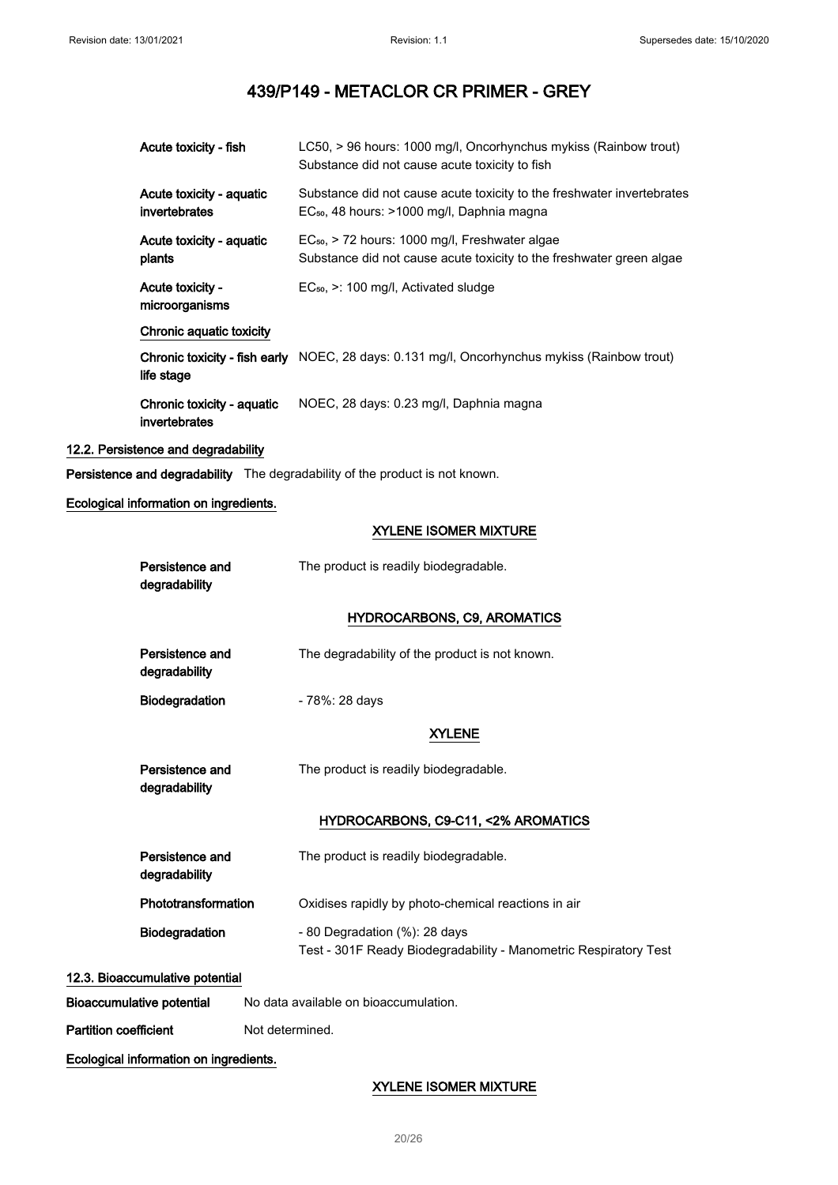| Acute toxicity - fish                       | LC50, > 96 hours: 1000 mg/l, Oncorhynchus mykiss (Rainbow trout)<br>Substance did not cause acute toxicity to fish                 |
|---------------------------------------------|------------------------------------------------------------------------------------------------------------------------------------|
| Acute toxicity - aquatic<br>invertebrates   | Substance did not cause acute toxicity to the freshwater invertebrates<br>EC <sub>50</sub> , 48 hours: >1000 mg/l, Daphnia magna   |
| Acute toxicity - aquatic<br>plants          | EC <sub>50</sub> , > 72 hours: 1000 mg/l, Freshwater algae<br>Substance did not cause acute toxicity to the freshwater green algae |
| <b>Acute toxicity -</b><br>microorganisms   | $EC_{50}$ , $\geq$ : 100 mg/l, Activated sludge                                                                                    |
| Chronic aquatic toxicity                    |                                                                                                                                    |
| life stage                                  | Chronic toxicity - fish early NOEC, 28 days: 0.131 mg/l, Oncorhynchus mykiss (Rainbow trout)                                       |
| Chronic toxicity - aquatic<br>invertebrates | NOEC, 28 days: 0.23 mg/l, Daphnia magna                                                                                            |

## 12.2. Persistence and degradability

Persistence and degradability The degradability of the product is not known.

## Ecological information on ingredients.

## XYLENE ISOMER MIXTURE

| Persistence and<br>degradability       | The product is readily biodegradable.                                                             |
|----------------------------------------|---------------------------------------------------------------------------------------------------|
|                                        | <b>HYDROCARBONS, C9, AROMATICS</b>                                                                |
| Persistence and<br>degradability       | The degradability of the product is not known.                                                    |
| Biodegradation                         | - 78%: 28 days                                                                                    |
|                                        | <b>XYLENE</b>                                                                                     |
| Persistence and<br>degradability       | The product is readily biodegradable.                                                             |
|                                        | HYDROCARBONS, C9-C11, <2% AROMATICS                                                               |
| Persistence and<br>degradability       | The product is readily biodegradable.                                                             |
| Phototransformation                    | Oxidises rapidly by photo-chemical reactions in air                                               |
| <b>Biodegradation</b>                  | - 80 Degradation (%): 28 days<br>Test - 301F Ready Biodegradability - Manometric Respiratory Test |
| 12.3. Bioaccumulative potential        |                                                                                                   |
| <b>Bioaccumulative potential</b>       | No data available on bioaccumulation.                                                             |
| <b>Partition coefficient</b>           | Not determined.                                                                                   |
| Ecological information on ingredients. |                                                                                                   |

XYLENE ISOMER MIXTURE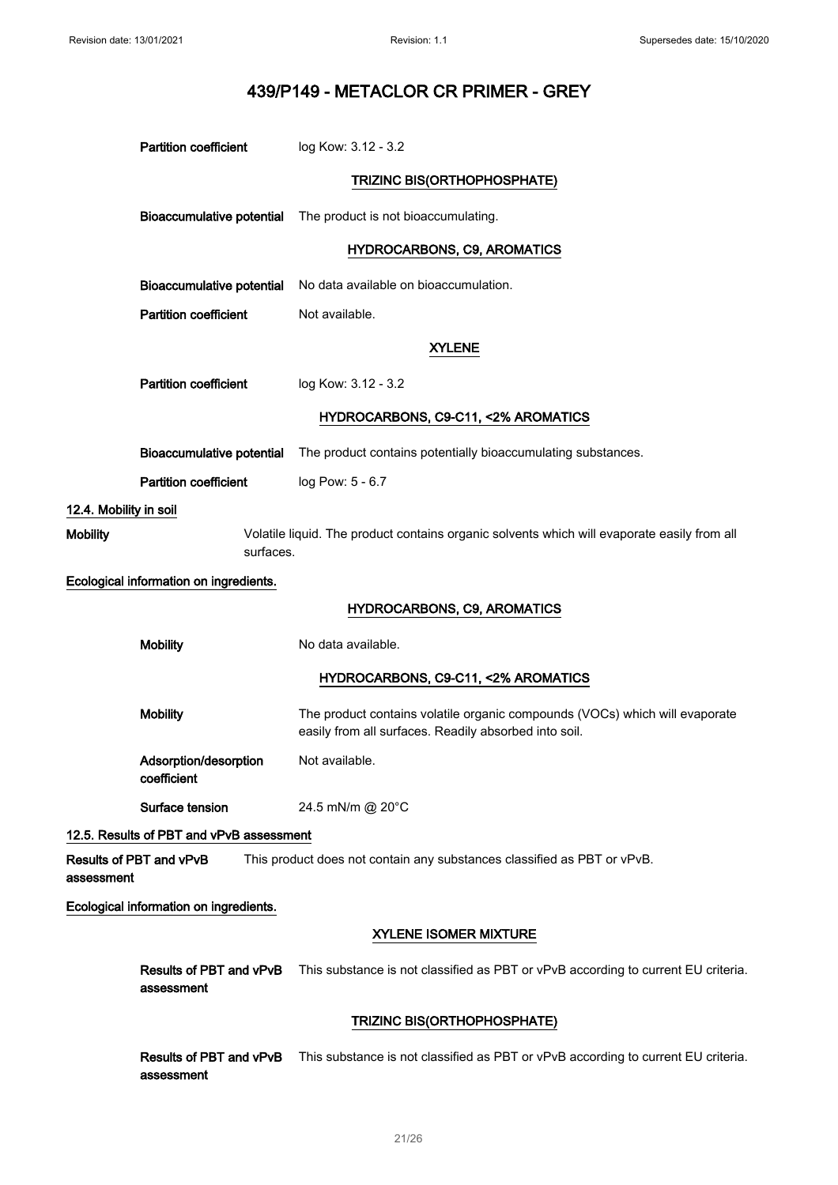|                        | <b>Partition coefficient</b>             | log Kow: 3.12 - 3.2                                                                                                                  |
|------------------------|------------------------------------------|--------------------------------------------------------------------------------------------------------------------------------------|
|                        |                                          | TRIZINC BIS(ORTHOPHOSPHATE)                                                                                                          |
|                        | <b>Bioaccumulative potential</b>         | The product is not bioaccumulating.                                                                                                  |
|                        |                                          |                                                                                                                                      |
|                        |                                          | <b>HYDROCARBONS, C9, AROMATICS</b>                                                                                                   |
|                        | Bioaccumulative potential                | No data available on bioaccumulation.                                                                                                |
|                        | <b>Partition coefficient</b>             | Not available.                                                                                                                       |
|                        |                                          | <b>XYLENE</b>                                                                                                                        |
|                        | <b>Partition coefficient</b>             | log Kow: 3.12 - 3.2                                                                                                                  |
|                        |                                          | HYDROCARBONS, C9-C11, <2% AROMATICS                                                                                                  |
|                        | <b>Bioaccumulative potential</b>         | The product contains potentially bioaccumulating substances.                                                                         |
|                        | <b>Partition coefficient</b>             | log Pow: 5 - 6.7                                                                                                                     |
| 12.4. Mobility in soil |                                          |                                                                                                                                      |
| <b>Mobility</b>        | surfaces.                                | Volatile liquid. The product contains organic solvents which will evaporate easily from all                                          |
|                        | Ecological information on ingredients.   |                                                                                                                                      |
|                        |                                          | <b>HYDROCARBONS, C9, AROMATICS</b>                                                                                                   |
|                        | <b>Mobility</b>                          | No data available.                                                                                                                   |
|                        |                                          | HYDROCARBONS, C9-C11, <2% AROMATICS                                                                                                  |
|                        | <b>Mobility</b>                          | The product contains volatile organic compounds (VOCs) which will evaporate<br>easily from all surfaces. Readily absorbed into soil. |
|                        | Adsorption/desorption<br>coefficient     | Not available.                                                                                                                       |
|                        | Surface tension                          | 24.5 mN/m @ 20°C                                                                                                                     |
|                        | 12.5. Results of PBT and vPvB assessment |                                                                                                                                      |
| assessment             | Results of PBT and vPvB                  | This product does not contain any substances classified as PBT or vPvB.                                                              |
|                        | Ecological information on ingredients.   |                                                                                                                                      |
|                        |                                          | <b>XYLENE ISOMER MIXTURE</b>                                                                                                         |
|                        | Results of PBT and vPvB<br>assessment    | This substance is not classified as PBT or vPvB according to current EU criteria.                                                    |
|                        |                                          | TRIZINC BIS(ORTHOPHOSPHATE)                                                                                                          |
|                        | Results of PBT and vPvB<br>assessment    | This substance is not classified as PBT or vPvB according to current EU criteria.                                                    |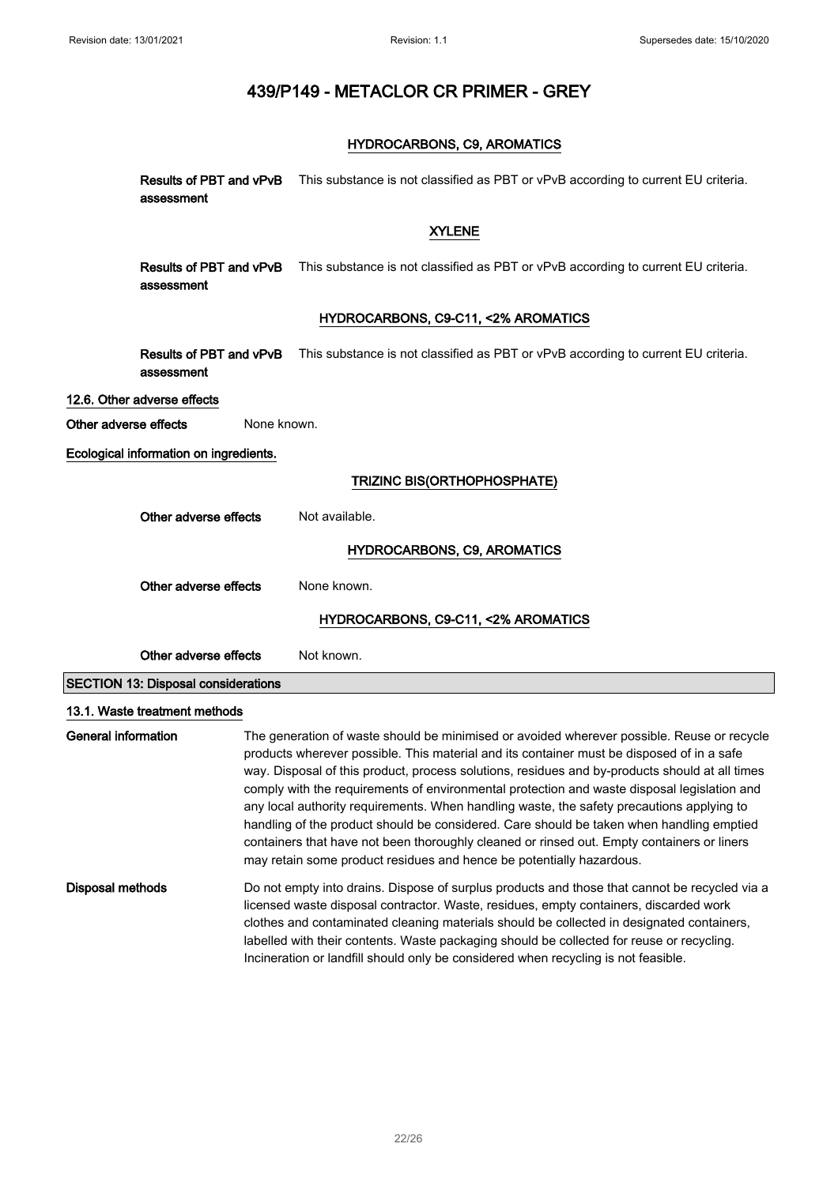## HYDROCARBONS, C9, AROMATICS

|                            | assessment                                 |             | Results of PBT and vPvB This substance is not classified as PBT or vPvB according to current EU criteria.                                                                                                                                                                                                                                                                                                                                                                                                                                                                                                                                                                                                                                               |
|----------------------------|--------------------------------------------|-------------|---------------------------------------------------------------------------------------------------------------------------------------------------------------------------------------------------------------------------------------------------------------------------------------------------------------------------------------------------------------------------------------------------------------------------------------------------------------------------------------------------------------------------------------------------------------------------------------------------------------------------------------------------------------------------------------------------------------------------------------------------------|
|                            |                                            |             | <b>XYLENE</b>                                                                                                                                                                                                                                                                                                                                                                                                                                                                                                                                                                                                                                                                                                                                           |
|                            | Results of PBT and vPvB<br>assessment      |             | This substance is not classified as PBT or vPvB according to current EU criteria.                                                                                                                                                                                                                                                                                                                                                                                                                                                                                                                                                                                                                                                                       |
|                            |                                            |             | HYDROCARBONS, C9-C11, <2% AROMATICS                                                                                                                                                                                                                                                                                                                                                                                                                                                                                                                                                                                                                                                                                                                     |
|                            | Results of PBT and vPvB<br>assessment      |             | This substance is not classified as PBT or vPvB according to current EU criteria.                                                                                                                                                                                                                                                                                                                                                                                                                                                                                                                                                                                                                                                                       |
|                            | 12.6. Other adverse effects                |             |                                                                                                                                                                                                                                                                                                                                                                                                                                                                                                                                                                                                                                                                                                                                                         |
| Other adverse effects      |                                            | None known. |                                                                                                                                                                                                                                                                                                                                                                                                                                                                                                                                                                                                                                                                                                                                                         |
|                            | Ecological information on ingredients.     |             |                                                                                                                                                                                                                                                                                                                                                                                                                                                                                                                                                                                                                                                                                                                                                         |
|                            |                                            |             | TRIZINC BIS(ORTHOPHOSPHATE)                                                                                                                                                                                                                                                                                                                                                                                                                                                                                                                                                                                                                                                                                                                             |
|                            | Other adverse effects                      |             | Not available.                                                                                                                                                                                                                                                                                                                                                                                                                                                                                                                                                                                                                                                                                                                                          |
|                            |                                            |             | <b>HYDROCARBONS, C9, AROMATICS</b>                                                                                                                                                                                                                                                                                                                                                                                                                                                                                                                                                                                                                                                                                                                      |
|                            | Other adverse effects                      |             | None known.                                                                                                                                                                                                                                                                                                                                                                                                                                                                                                                                                                                                                                                                                                                                             |
|                            |                                            |             | HYDROCARBONS, C9-C11, <2% AROMATICS                                                                                                                                                                                                                                                                                                                                                                                                                                                                                                                                                                                                                                                                                                                     |
|                            | Other adverse effects                      |             | Not known.                                                                                                                                                                                                                                                                                                                                                                                                                                                                                                                                                                                                                                                                                                                                              |
|                            | <b>SECTION 13: Disposal considerations</b> |             |                                                                                                                                                                                                                                                                                                                                                                                                                                                                                                                                                                                                                                                                                                                                                         |
|                            | 13.1. Waste treatment methods              |             |                                                                                                                                                                                                                                                                                                                                                                                                                                                                                                                                                                                                                                                                                                                                                         |
| <b>General information</b> |                                            |             | The generation of waste should be minimised or avoided wherever possible. Reuse or recycle<br>products wherever possible. This material and its container must be disposed of in a safe<br>way. Disposal of this product, process solutions, residues and by-products should at all times<br>comply with the requirements of environmental protection and waste disposal legislation and<br>any local authority requirements. When handling waste, the safety precautions applying to<br>handling of the product should be considered. Care should be taken when handling emptied<br>containers that have not been thoroughly cleaned or rinsed out. Empty containers or liners<br>may retain some product residues and hence be potentially hazardous. |
| Disposal methods           |                                            |             | Do not empty into drains. Dispose of surplus products and those that cannot be recycled via a<br>licensed waste disposal contractor. Waste, residues, empty containers, discarded work<br>clothes and contaminated cleaning materials should be collected in designated containers,<br>labelled with their contents. Waste packaging should be collected for reuse or recycling.<br>Incineration or landfill should only be considered when recycling is not feasible.                                                                                                                                                                                                                                                                                  |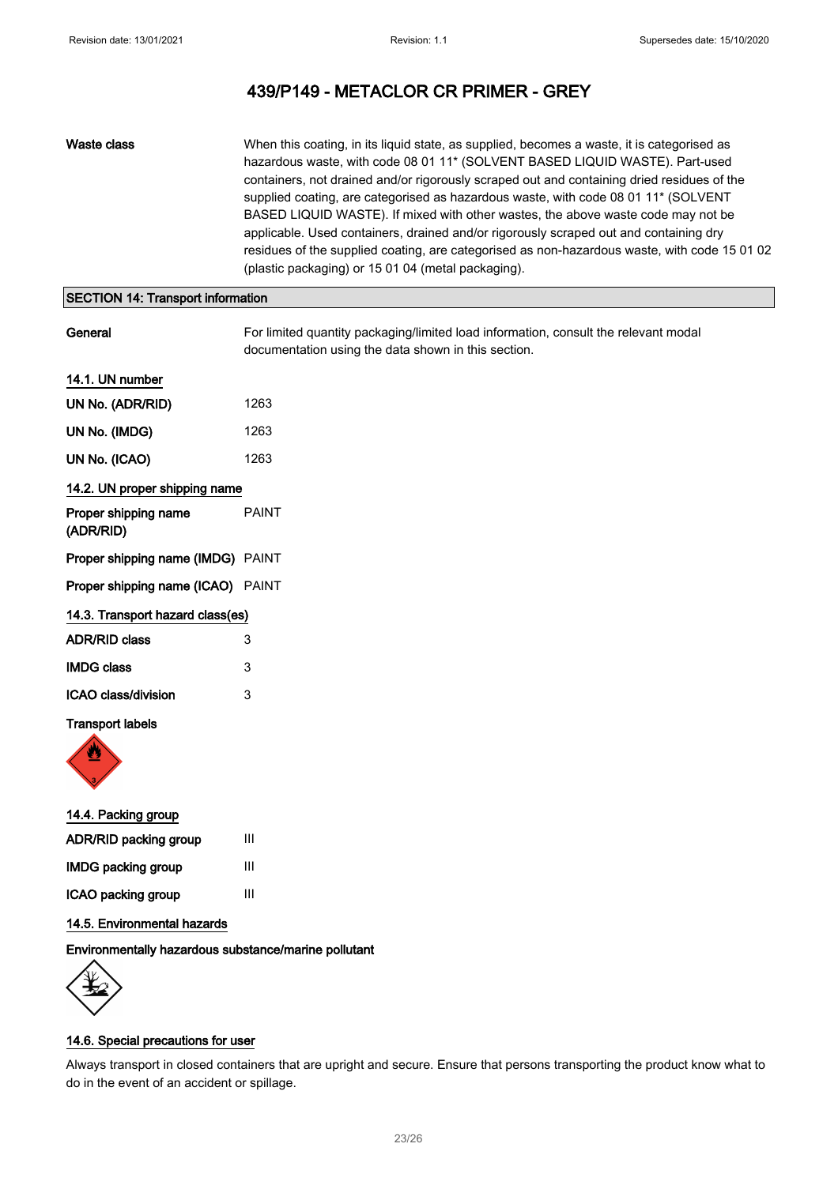Waste class When this coating, in its liquid state, as supplied, becomes a waste, it is categorised as hazardous waste, with code 08 01 11\* (SOLVENT BASED LIQUID WASTE). Part-used containers, not drained and/or rigorously scraped out and containing dried residues of the supplied coating, are categorised as hazardous waste, with code 08 01 11\* (SOLVENT BASED LIQUID WASTE). If mixed with other wastes, the above waste code may not be applicable. Used containers, drained and/or rigorously scraped out and containing dry residues of the supplied coating, are categorised as non-hazardous waste, with code 15 01 02 (plastic packaging) or 15 01 04 (metal packaging).

## SECTION 14: Transport information

General **For limited quantity packaging/limited load information**, consult the relevant modal documentation using the data shown in this section.

## 14.1. UN number

| UN No. (ADR/RID)                         | 1263  |
|------------------------------------------|-------|
| UN No. (IMDG)                            | 1263  |
| UN No. (ICAO)                            | 1263  |
| 14.2. UN proper shipping name            |       |
| Proper shipping name<br>(ADR/RID)        | PAINT |
| Proper shipping name (IMDG) PAINT        |       |
| <b>Proper shipping name (ICAO)</b> PAINT |       |
| 14.3. Transport hazard class(es)         |       |
| <b>ADR/RID class</b>                     | 3     |
| <b>IMDG class</b>                        | 3     |
| ICAO class/division                      | 3     |
|                                          |       |

#### Transport labels



| 14.4. Packing group          |   |
|------------------------------|---|
| <b>ADR/RID packing group</b> | Ш |
| <b>IMDG packing group</b>    | Ш |
| ICAO packing group           | Ш |
|                              |   |

## 14.5. Environmental hazards

Environmentally hazardous substance/marine pollutant



### 14.6. Special precautions for user

Always transport in closed containers that are upright and secure. Ensure that persons transporting the product know what to do in the event of an accident or spillage.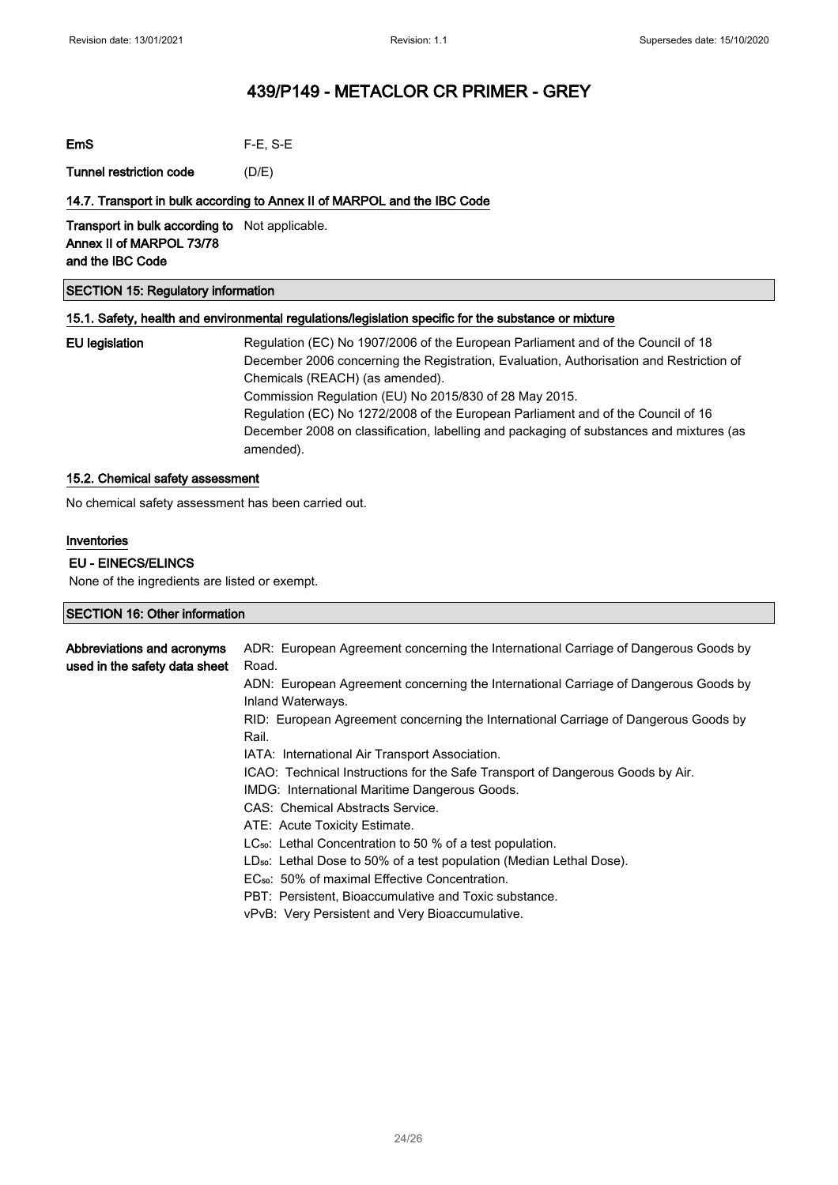| $F-E$ , S-E |
|-------------|
|             |

Tunnel restriction code (D/E)

## 14.7. Transport in bulk according to Annex II of MARPOL and the IBC Code

Transport in bulk according to Not applicable. Annex II of MARPOL 73/78 and the IBC Code

## SECTION 15: Regulatory information

## 15.1. Safety, health and environmental regulations/legislation specific for the substance or mixture

EU legislation Regulation (EC) No 1907/2006 of the European Parliament and of the Council of 18 December 2006 concerning the Registration, Evaluation, Authorisation and Restriction of Chemicals (REACH) (as amended). Commission Regulation (EU) No 2015/830 of 28 May 2015. Regulation (EC) No 1272/2008 of the European Parliament and of the Council of 16 December 2008 on classification, labelling and packaging of substances and mixtures (as amended).

## 15.2. Chemical safety assessment

No chemical safety assessment has been carried out.

## Inventories

## EU - EINECS/ELINCS

None of the ingredients are listed or exempt.

| SECTION 16: Other information |                                                                                     |
|-------------------------------|-------------------------------------------------------------------------------------|
|                               |                                                                                     |
| Abbreviations and acronyms    | ADR: European Agreement concerning the International Carriage of Dangerous Goods by |
| used in the safety data sheet | Road.                                                                               |
|                               | ADN: European Agreement concerning the International Carriage of Dangerous Goods by |
|                               | Inland Waterways.                                                                   |
|                               | RID: European Agreement concerning the International Carriage of Dangerous Goods by |
|                               | Rail.                                                                               |
|                               | IATA: International Air Transport Association.                                      |
|                               | ICAO: Technical Instructions for the Safe Transport of Dangerous Goods by Air.      |
|                               | IMDG: International Maritime Dangerous Goods.                                       |
|                               | CAS: Chemical Abstracts Service.                                                    |
|                               | ATE: Acute Toxicity Estimate.                                                       |
|                               | $LC_{50}$ : Lethal Concentration to 50 % of a test population.                      |
|                               | LD <sub>50</sub> : Lethal Dose to 50% of a test population (Median Lethal Dose).    |
|                               | EC <sub>50</sub> : 50% of maximal Effective Concentration.                          |
|                               | PBT: Persistent, Bioaccumulative and Toxic substance.                               |
|                               | vPvB: Very Persistent and Very Bioaccumulative.                                     |
|                               |                                                                                     |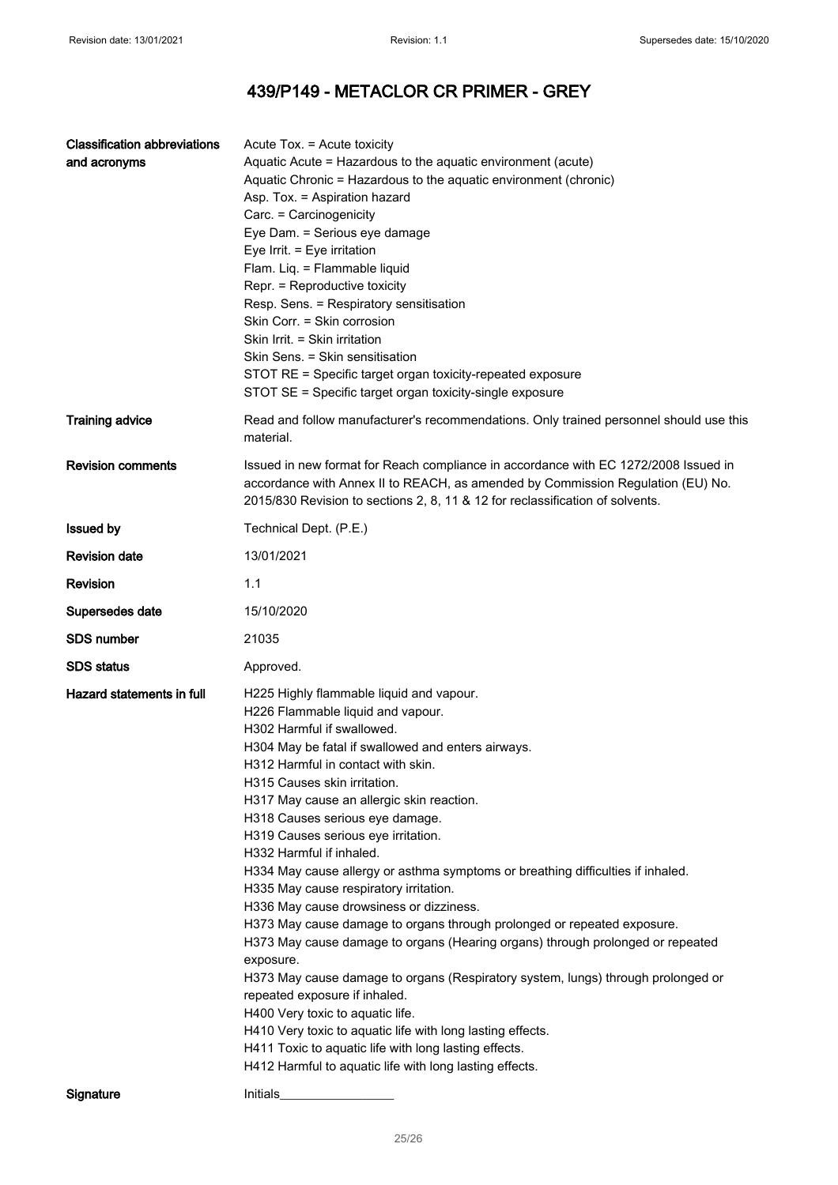| <b>Classification abbreviations</b> | Acute Tox. = Acute toxicity                                                                         |
|-------------------------------------|-----------------------------------------------------------------------------------------------------|
| and acronyms                        | Aquatic Acute = Hazardous to the aquatic environment (acute)                                        |
|                                     | Aquatic Chronic = Hazardous to the aquatic environment (chronic)                                    |
|                                     | Asp. Tox. = Aspiration hazard                                                                       |
|                                     | Carc. = Carcinogenicity                                                                             |
|                                     | Eye Dam. = Serious eye damage                                                                       |
|                                     | Eye Irrit. = Eye irritation                                                                         |
|                                     | Flam. Liq. = Flammable liquid                                                                       |
|                                     | Repr. = Reproductive toxicity                                                                       |
|                                     | Resp. Sens. = Respiratory sensitisation                                                             |
|                                     | Skin Corr. = Skin corrosion                                                                         |
|                                     | Skin Irrit. = Skin irritation                                                                       |
|                                     | Skin Sens. = Skin sensitisation                                                                     |
|                                     | STOT RE = Specific target organ toxicity-repeated exposure                                          |
|                                     | STOT SE = Specific target organ toxicity-single exposure                                            |
|                                     |                                                                                                     |
| <b>Training advice</b>              | Read and follow manufacturer's recommendations. Only trained personnel should use this<br>material. |
| <b>Revision comments</b>            | Issued in new format for Reach compliance in accordance with EC 1272/2008 Issued in                 |
|                                     | accordance with Annex II to REACH, as amended by Commission Regulation (EU) No.                     |
|                                     | 2015/830 Revision to sections 2, 8, 11 & 12 for reclassification of solvents.                       |
|                                     |                                                                                                     |
| <b>Issued by</b>                    | Technical Dept. (P.E.)                                                                              |
| <b>Revision date</b>                | 13/01/2021                                                                                          |
| Revision                            | 1.1                                                                                                 |
| Supersedes date                     | 15/10/2020                                                                                          |
| <b>SDS number</b>                   | 21035                                                                                               |
| <b>SDS status</b>                   | Approved.                                                                                           |
| Hazard statements in full           | H225 Highly flammable liquid and vapour.                                                            |
|                                     | H226 Flammable liquid and vapour.                                                                   |
|                                     | H302 Harmful if swallowed.                                                                          |
|                                     | H304 May be fatal if swallowed and enters airways.                                                  |
|                                     | H312 Harmful in contact with skin.                                                                  |
|                                     | H315 Causes skin irritation.                                                                        |
|                                     | H317 May cause an allergic skin reaction.                                                           |
|                                     | H318 Causes serious eye damage.                                                                     |
|                                     | H319 Causes serious eye irritation.                                                                 |
|                                     | H332 Harmful if inhaled.                                                                            |
|                                     |                                                                                                     |
|                                     | H334 May cause allergy or asthma symptoms or breathing difficulties if inhaled.                     |
|                                     | H335 May cause respiratory irritation.                                                              |
|                                     | H336 May cause drowsiness or dizziness.                                                             |
|                                     | H373 May cause damage to organs through prolonged or repeated exposure.                             |
|                                     | H373 May cause damage to organs (Hearing organs) through prolonged or repeated                      |
|                                     | exposure.                                                                                           |
|                                     | H373 May cause damage to organs (Respiratory system, lungs) through prolonged or                    |
|                                     | repeated exposure if inhaled.                                                                       |
|                                     | H400 Very toxic to aquatic life.                                                                    |
|                                     | H410 Very toxic to aquatic life with long lasting effects.                                          |
|                                     | H411 Toxic to aquatic life with long lasting effects.                                               |
|                                     | H412 Harmful to aquatic life with long lasting effects.                                             |